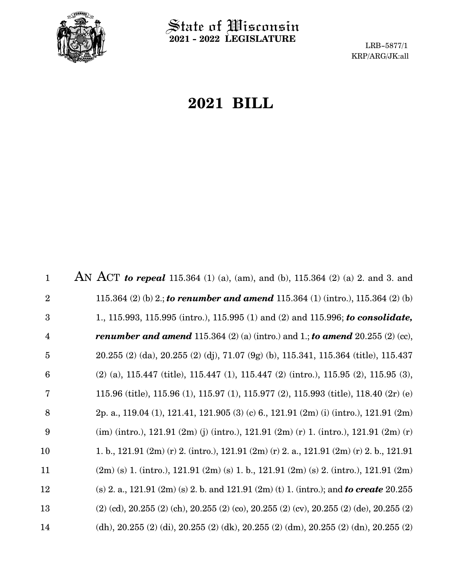

 $\operatorname{\mathsf{State}}$  of Wisconsin **2021 - 2022 LEGISLATURE**

LRB-5877/1 KRP/ARG/JK:all

# **2021 BILL**

AN ACT *to repeal* 115.364 (1) (a), (am), and (b), 115.364 (2) (a) 2. and 3. and 115.364 (2) (b) 2.; *to renumber and amend* 115.364 (1) (intro.), 115.364 (2) (b) 1., 115.993, 115.995 (intro.), 115.995 (1) and (2) and 115.996; *to consolidate, renumber and amend* 115.364 (2) (a) (intro.) and 1.; *to amend* 20.255 (2) (cc), 20.255 (2) (da), 20.255 (2) (dj), 71.07 (9g) (b), 115.341, 115.364 (title), 115.437 (2) (a), 115.447 (title), 115.447 (1), 115.447 (2) (intro.), 115.95 (2), 115.95 (3), 115.96 (title), 115.96 (1), 115.97 (1), 115.977 (2), 115.993 (title), 118.40 (2r) (e) 2p. a., 119.04 (1), 121.41, 121.905 (3) (c) 6., 121.91 (2m) (i) (intro.), 121.91 (2m)  $\langle$  (im) (intro.), 121.91 (2m) (j) (intro.), 121.91 (2m) (r) 1. (intro.), 121.91 (2m) (r) 1. b., 121.91 (2m) (r) 2. (intro.), 121.91 (2m) (r) 2. a., 121.91 (2m) (r) 2. b., 121.91 (2m) (s) 1. (intro.), 121.91 (2m) (s) 1. b., 121.91 (2m) (s) 2. (intro.), 121.91 (2m) (s) 2. a., 121.91 (2m) (s) 2. b. and 121.91 (2m) (t) 1. (intro.); and *to create* 20.255 (2) (cd), 20.255 (2) (ch), 20.255 (2) (co), 20.255 (2) (cv), 20.255 (2) (de), 20.255 (2) (dh), 20.255 (2) (di), 20.255 (2) (dk), 20.255 (2) (dm), 20.255 (2) (dn), 20.255 (2) 1 2 3 4 5 6 7 8 9 10 11 12 13 14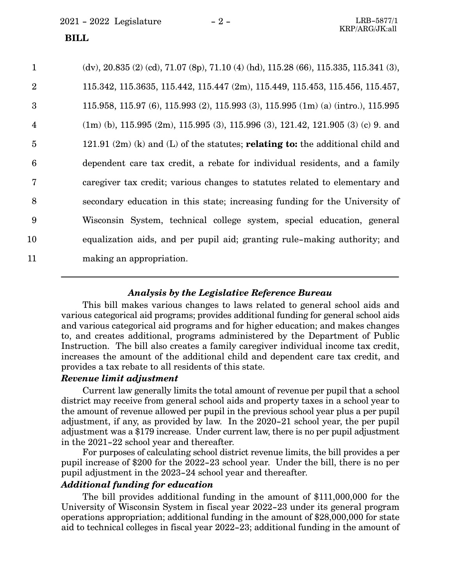| $\mathbf{1}$            | $(dv)$ , 20.835 (2) (cd), 71.07 (8p), 71.10 (4) (hd), 115.28 (66), 115.335, 115.341 (3), |
|-------------------------|------------------------------------------------------------------------------------------|
| $\overline{2}$          | 115.342, 115.3635, 115.442, 115.447 (2m), 115.449, 115.453, 115.456, 115.457,            |
| 3                       | 115.958, 115.97 (6), 115.993 (2), 115.993 (3), 115.995 (1m) (a) (intro.), 115.995        |
| $\overline{\mathbf{4}}$ | $(1m)$ (b), 115.995 (2m), 115.995 (3), 115.996 (3), 121.42, 121.905 (3) (c) 9. and       |
| $\overline{5}$          | 121.91 $(2m)$ (k) and (L) of the statutes; <b>relating to:</b> the additional child and  |
| $6\phantom{1}6$         | dependent care tax credit, a rebate for individual residents, and a family               |
| $\overline{7}$          | caregiver tax credit; various changes to statutes related to elementary and              |
| 8                       | secondary education in this state; increasing funding for the University of              |
| 9                       | Wisconsin System, technical college system, special education, general                   |
| 10                      | equalization aids, and per pupil aid; granting rule-making authority; and                |
| 11                      | making an appropriation.                                                                 |

#### *Analysis by the Legislative Reference Bureau*

This bill makes various changes to laws related to general school aids and various categorical aid programs; provides additional funding for general school aids and various categorical aid programs and for higher education; and makes changes to, and creates additional, programs administered by the Department of Public Instruction. The bill also creates a family caregiver individual income tax credit, increases the amount of the additional child and dependent care tax credit, and provides a tax rebate to all residents of this state.

#### *Revenue limit adjustment*

Current law generally limits the total amount of revenue per pupil that a school district may receive from general school aids and property taxes in a school year to the amount of revenue allowed per pupil in the previous school year plus a per pupil adjustment, if any, as provided by law. In the 2020-21 school year, the per pupil adjustment was a \$179 increase. Under current law, there is no per pupil adjustment in the 2021-22 school year and thereafter.

For purposes of calculating school district revenue limits, the bill provides a per pupil increase of \$200 for the 2022-23 school year. Under the bill, there is no per pupil adjustment in the 2023-24 school year and thereafter.

#### *Additional funding for education*

The bill provides additional funding in the amount of \$111,000,000 for the University of Wisconsin System in fiscal year 2022-23 under its general program operations appropriation; additional funding in the amount of \$28,000,000 for state aid to technical colleges in fiscal year 2022-23; additional funding in the amount of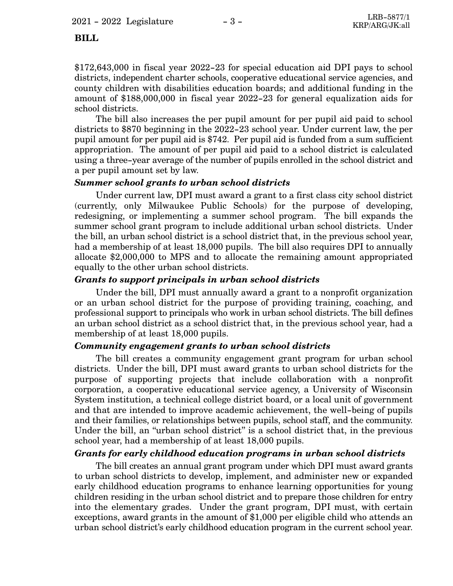\$172,643,000 in fiscal year 2022-23 for special education aid DPI pays to school districts, independent charter schools, cooperative educational service agencies, and county children with disabilities education boards; and additional funding in the amount of \$188,000,000 in fiscal year 2022-23 for general equalization aids for school districts.

The bill also increases the per pupil amount for per pupil aid paid to school districts to \$870 beginning in the 2022-23 school year. Under current law, the per pupil amount for per pupil aid is \$742. Per pupil aid is funded from a sum sufficient appropriation. The amount of per pupil aid paid to a school district is calculated using a three-year average of the number of pupils enrolled in the school district and a per pupil amount set by law.

#### *Summer school grants to urban school districts*

Under current law, DPI must award a grant to a first class city school district (currently, only Milwaukee Public Schools) for the purpose of developing, redesigning, or implementing a summer school program. The bill expands the summer school grant program to include additional urban school districts. Under the bill, an urban school district is a school district that, in the previous school year, had a membership of at least 18,000 pupils. The bill also requires DPI to annually allocate \$2,000,000 to MPS and to allocate the remaining amount appropriated equally to the other urban school districts.

#### *Grants to support principals in urban school districts*

Under the bill, DPI must annually award a grant to a nonprofit organization or an urban school district for the purpose of providing training, coaching, and professional support to principals who work in urban school districts. The bill defines an urban school district as a school district that, in the previous school year, had a membership of at least 18,000 pupils.

#### *Community engagement grants to urban school districts*

The bill creates a community engagement grant program for urban school districts. Under the bill, DPI must award grants to urban school districts for the purpose of supporting projects that include collaboration with a nonprofit corporation, a cooperative educational service agency, a University of Wisconsin System institution, a technical college district board, or a local unit of government and that are intended to improve academic achievement, the well-being of pupils and their families, or relationships between pupils, school staff, and the community. Under the bill, an "urban school district" is a school district that, in the previous school year, had a membership of at least 18,000 pupils.

#### *Grants for early childhood education programs in urban school districts*

The bill creates an annual grant program under which DPI must award grants to urban school districts to develop, implement, and administer new or expanded early childhood education programs to enhance learning opportunities for young children residing in the urban school district and to prepare those children for entry into the elementary grades. Under the grant program, DPI must, with certain exceptions, award grants in the amount of \$1,000 per eligible child who attends an urban school district's early childhood education program in the current school year.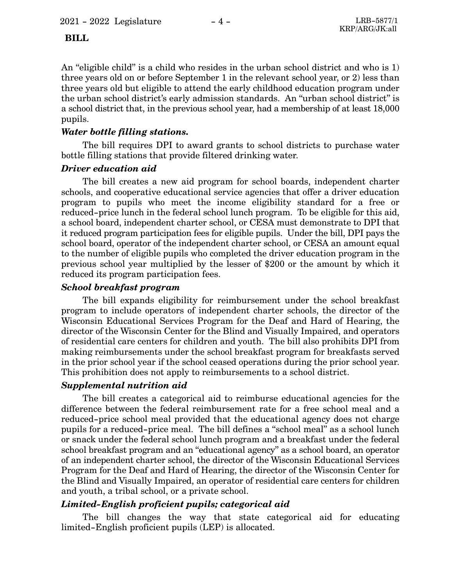An "eligible child" is a child who resides in the urban school district and who is 1) three years old on or before September 1 in the relevant school year, or 2) less than three years old but eligible to attend the early childhood education program under the urban school district's early admission standards. An "urban school district" is a school district that, in the previous school year, had a membership of at least 18,000 pupils.

#### *Water bottle filling stations.*

The bill requires DPI to award grants to school districts to purchase water bottle filling stations that provide filtered drinking water.

#### *Driver education aid*

The bill creates a new aid program for school boards, independent charter schools, and cooperative educational service agencies that offer a driver education program to pupils who meet the income eligibility standard for a free or reduced-price lunch in the federal school lunch program. To be eligible for this aid, a school board, independent charter school, or CESA must demonstrate to DPI that it reduced program participation fees for eligible pupils. Under the bill, DPI pays the school board, operator of the independent charter school, or CESA an amount equal to the number of eligible pupils who completed the driver education program in the previous school year multiplied by the lesser of \$200 or the amount by which it reduced its program participation fees.

#### *School breakfast program*

The bill expands eligibility for reimbursement under the school breakfast program to include operators of independent charter schools, the director of the Wisconsin Educational Services Program for the Deaf and Hard of Hearing, the director of the Wisconsin Center for the Blind and Visually Impaired, and operators of residential care centers for children and youth. The bill also prohibits DPI from making reimbursements under the school breakfast program for breakfasts served in the prior school year if the school ceased operations during the prior school year. This prohibition does not apply to reimbursements to a school district.

#### *Supplemental nutrition aid*

The bill creates a categorical aid to reimburse educational agencies for the difference between the federal reimbursement rate for a free school meal and a reduced-price school meal provided that the educational agency does not charge pupils for a reduced-price meal. The bill defines a "school meal" as a school lunch or snack under the federal school lunch program and a breakfast under the federal school breakfast program and an "educational agency" as a school board, an operator of an independent charter school, the director of the Wisconsin Educational Services Program for the Deaf and Hard of Hearing, the director of the Wisconsin Center for the Blind and Visually Impaired, an operator of residential care centers for children and youth, a tribal school, or a private school.

### *Limited-English proficient pupils; categorical aid*

The bill changes the way that state categorical aid for educating limited-English proficient pupils (LEP) is allocated.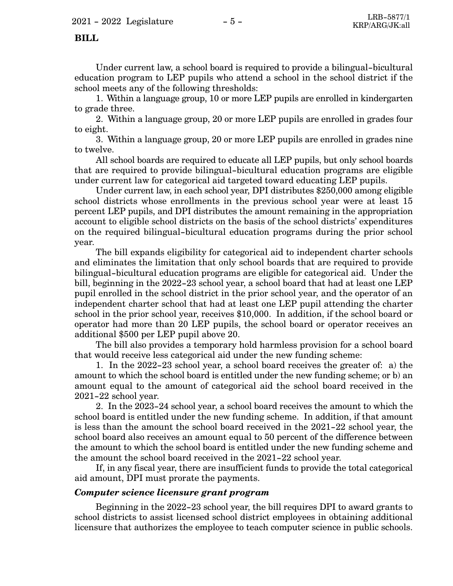Under current law, a school board is required to provide a bilingual-bicultural education program to LEP pupils who attend a school in the school district if the school meets any of the following thresholds:

1. Within a language group, 10 or more LEP pupils are enrolled in kindergarten to grade three.

2. Within a language group, 20 or more LEP pupils are enrolled in grades four to eight.

3. Within a language group, 20 or more LEP pupils are enrolled in grades nine to twelve.

All school boards are required to educate all LEP pupils, but only school boards that are required to provide bilingual-bicultural education programs are eligible under current law for categorical aid targeted toward educating LEP pupils.

Under current law, in each school year, DPI distributes \$250,000 among eligible school districts whose enrollments in the previous school year were at least 15 percent LEP pupils, and DPI distributes the amount remaining in the appropriation account to eligible school districts on the basis of the school districts' expenditures on the required bilingual-bicultural education programs during the prior school year.

The bill expands eligibility for categorical aid to independent charter schools and eliminates the limitation that only school boards that are required to provide bilingual-bicultural education programs are eligible for categorical aid. Under the bill, beginning in the 2022-23 school year, a school board that had at least one LEP pupil enrolled in the school district in the prior school year, and the operator of an independent charter school that had at least one LEP pupil attending the charter school in the prior school year, receives \$10,000. In addition, if the school board or operator had more than 20 LEP pupils, the school board or operator receives an additional \$500 per LEP pupil above 20.

The bill also provides a temporary hold harmless provision for a school board that would receive less categorical aid under the new funding scheme:

1. In the 2022-23 school year, a school board receives the greater of: a) the amount to which the school board is entitled under the new funding scheme; or b) an amount equal to the amount of categorical aid the school board received in the 2021-22 school year.

2. In the 2023-24 school year, a school board receives the amount to which the school board is entitled under the new funding scheme. In addition, if that amount is less than the amount the school board received in the 2021-22 school year, the school board also receives an amount equal to 50 percent of the difference between the amount to which the school board is entitled under the new funding scheme and the amount the school board received in the 2021-22 school year.

If, in any fiscal year, there are insufficient funds to provide the total categorical aid amount, DPI must prorate the payments.

#### *Computer science licensure grant program*

Beginning in the 2022-23 school year, the bill requires DPI to award grants to school districts to assist licensed school district employees in obtaining additional licensure that authorizes the employee to teach computer science in public schools.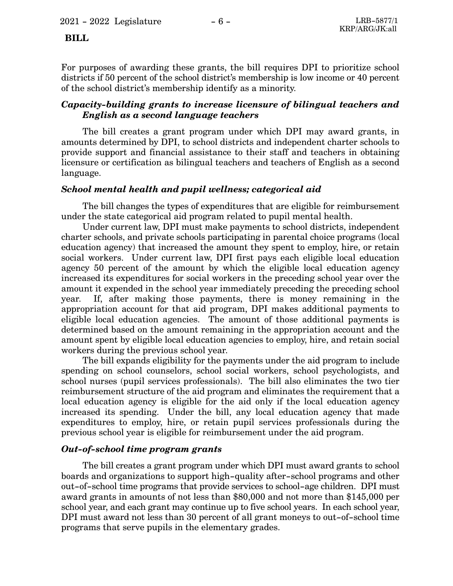For purposes of awarding these grants, the bill requires DPI to prioritize school districts if 50 percent of the school district's membership is low income or 40 percent of the school district's membership identify as a minority.

#### *Capacity-building grants to increase licensure of bilingual teachers and English as a second language teachers*

The bill creates a grant program under which DPI may award grants, in amounts determined by DPI, to school districts and independent charter schools to provide support and financial assistance to their staff and teachers in obtaining licensure or certification as bilingual teachers and teachers of English as a second language.

#### *School mental health and pupil wellness; categorical aid*

The bill changes the types of expenditures that are eligible for reimbursement under the state categorical aid program related to pupil mental health.

Under current law, DPI must make payments to school districts, independent charter schools, and private schools participating in parental choice programs (local education agency) that increased the amount they spent to employ, hire, or retain social workers. Under current law, DPI first pays each eligible local education agency 50 percent of the amount by which the eligible local education agency increased its expenditures for social workers in the preceding school year over the amount it expended in the school year immediately preceding the preceding school year. If, after making those payments, there is money remaining in the appropriation account for that aid program, DPI makes additional payments to eligible local education agencies. The amount of those additional payments is determined based on the amount remaining in the appropriation account and the amount spent by eligible local education agencies to employ, hire, and retain social workers during the previous school year.

The bill expands eligibility for the payments under the aid program to include spending on school counselors, school social workers, school psychologists, and school nurses (pupil services professionals). The bill also eliminates the two tier reimbursement structure of the aid program and eliminates the requirement that a local education agency is eligible for the aid only if the local education agency increased its spending. Under the bill, any local education agency that made expenditures to employ, hire, or retain pupil services professionals during the previous school year is eligible for reimbursement under the aid program.

#### *Out-of-school time program grants*

The bill creates a grant program under which DPI must award grants to school boards and organizations to support high-quality after-school programs and other out-of-school time programs that provide services to school-age children. DPI must award grants in amounts of not less than \$80,000 and not more than \$145,000 per school year, and each grant may continue up to five school years. In each school year, DPI must award not less than 30 percent of all grant moneys to out-of-school time programs that serve pupils in the elementary grades.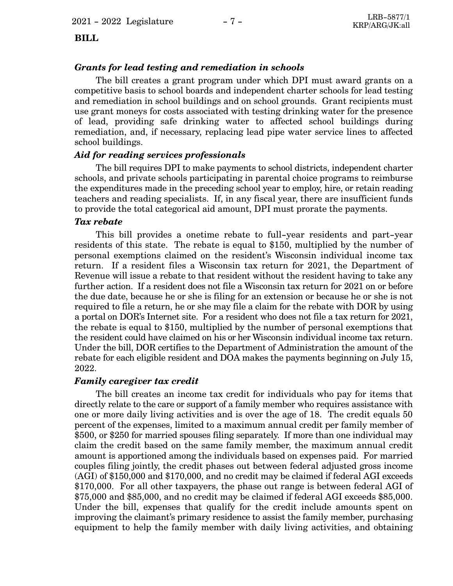#### *Grants for lead testing and remediation in schools*

The bill creates a grant program under which DPI must award grants on a competitive basis to school boards and independent charter schools for lead testing and remediation in school buildings and on school grounds. Grant recipients must use grant moneys for costs associated with testing drinking water for the presence of lead, providing safe drinking water to affected school buildings during remediation, and, if necessary, replacing lead pipe water service lines to affected school buildings.

#### *Aid for reading services professionals*

The bill requires DPI to make payments to school districts, independent charter schools, and private schools participating in parental choice programs to reimburse the expenditures made in the preceding school year to employ, hire, or retain reading teachers and reading specialists. If, in any fiscal year, there are insufficient funds to provide the total categorical aid amount, DPI must prorate the payments.

#### *Tax rebate*

This bill provides a onetime rebate to full-year residents and part-year residents of this state. The rebate is equal to \$150, multiplied by the number of personal exemptions claimed on the resident's Wisconsin individual income tax return. If a resident files a Wisconsin tax return for 2021, the Department of Revenue will issue a rebate to that resident without the resident having to take any further action. If a resident does not file a Wisconsin tax return for 2021 on or before the due date, because he or she is filing for an extension or because he or she is not required to file a return, he or she may file a claim for the rebate with DOR by using a portal on DOR's Internet site. For a resident who does not file a tax return for 2021, the rebate is equal to \$150, multiplied by the number of personal exemptions that the resident could have claimed on his or her Wisconsin individual income tax return. Under the bill, DOR certifies to the Department of Administration the amount of the rebate for each eligible resident and DOA makes the payments beginning on July 15, 2022.

#### *Family caregiver tax credit*

The bill creates an income tax credit for individuals who pay for items that directly relate to the care or support of a family member who requires assistance with one or more daily living activities and is over the age of 18. The credit equals 50 percent of the expenses, limited to a maximum annual credit per family member of \$500, or \$250 for married spouses filing separately. If more than one individual may claim the credit based on the same family member, the maximum annual credit amount is apportioned among the individuals based on expenses paid. For married couples filing jointly, the credit phases out between federal adjusted gross income (AGI) of \$150,000 and \$170,000, and no credit may be claimed if federal AGI exceeds \$170,000. For all other taxpayers, the phase out range is between federal AGI of \$75,000 and \$85,000, and no credit may be claimed if federal AGI exceeds \$85,000. Under the bill, expenses that qualify for the credit include amounts spent on improving the claimant's primary residence to assist the family member, purchasing equipment to help the family member with daily living activities, and obtaining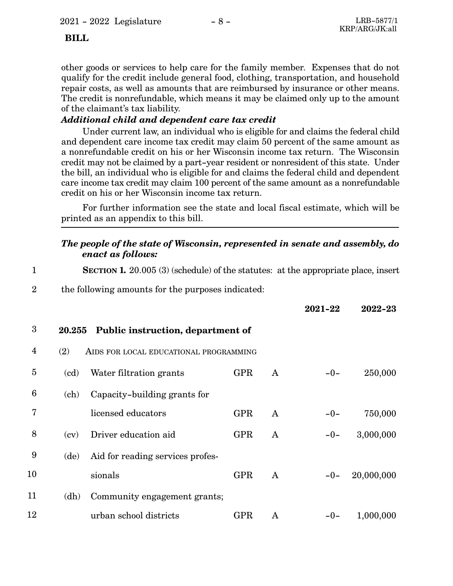other goods or services to help care for the family member. Expenses that do not qualify for the credit include general food, clothing, transportation, and household repair costs, as well as amounts that are reimbursed by insurance or other means. The credit is nonrefundable, which means it may be claimed only up to the amount of the claimant's tax liability.

#### *Additional child and dependent care tax credit*

Under current law, an individual who is eligible for and claims the federal child and dependent care income tax credit may claim 50 percent of the same amount as a nonrefundable credit on his or her Wisconsin income tax return. The Wisconsin credit may not be claimed by a part-year resident or nonresident of this state. Under the bill, an individual who is eligible for and claims the federal child and dependent care income tax credit may claim 100 percent of the same amount as a nonrefundable credit on his or her Wisconsin income tax return.

For further information see the state and local fiscal estimate, which will be printed as an appendix to this bill.

#### *The people of the state of Wisconsin, represented in senate and assembly, do enact as follows:*

| $\mathbf{1}$    |        | <b>SECTION 1.</b> 20.005 (3) (schedule) of the statutes: at the appropriate place, insert |            |              |         |            |
|-----------------|--------|-------------------------------------------------------------------------------------------|------------|--------------|---------|------------|
| $\overline{2}$  |        | the following amounts for the purposes indicated:                                         |            |              |         |            |
|                 |        |                                                                                           |            |              | 2021-22 | 2022-23    |
| 3               | 20.255 | Public instruction, department of                                                         |            |              |         |            |
| 4               | (2)    | AIDS FOR LOCAL EDUCATIONAL PROGRAMMING                                                    |            |              |         |            |
| 5               | (cd)   | Water filtration grants                                                                   | <b>GPR</b> | A            | $-0-$   | 250,000    |
| $6\phantom{1}6$ | (ch)   | Capacity-building grants for                                                              |            |              |         |            |
| 7               |        | licensed educators                                                                        | <b>GPR</b> | $\mathbf{A}$ | $-0-$   | 750,000    |
| 8               | (cv)   | Driver education aid                                                                      | <b>GPR</b> | A            | $-0-$   | 3,000,000  |
| 9               | (de)   | Aid for reading services profes-                                                          |            |              |         |            |
| 10              |        | sionals                                                                                   | <b>GPR</b> | A            | $-0-$   | 20,000,000 |
| 11              | (dh)   | Community engagement grants;                                                              |            |              |         |            |
| 12              |        | urban school districts                                                                    | <b>GPR</b> | A            | $-0-$   | 1,000,000  |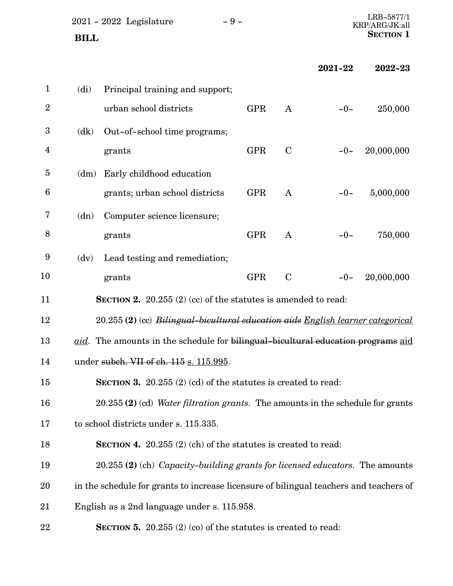|                | $2021 - 2022$ Legislature<br><b>BILL</b>                                               | $-9-$ |            |              |         | LRB-5877/1<br>KRP/ARG/JK:all<br><b>SECTION 1</b> |
|----------------|----------------------------------------------------------------------------------------|-------|------------|--------------|---------|--------------------------------------------------|
|                |                                                                                        |       |            |              | 2021-22 |                                                  |
|                |                                                                                        |       |            |              |         | 2022-23                                          |
| $\mathbf{1}$   | $\text{(di)}$<br>Principal training and support;                                       |       |            |              |         |                                                  |
| $\overline{2}$ | urban school districts                                                                 |       | <b>GPR</b> | $\mathbf{A}$ | $-0-$   | 250,000                                          |
| 3              | Out-of-school time programs;<br>(dk)                                                   |       |            |              |         |                                                  |
| $\overline{4}$ | grants                                                                                 |       | <b>GPR</b> | $\mathbf C$  | $-0-$   | 20,000,000                                       |
| $\overline{5}$ | Early childhood education<br>(dm)                                                      |       |            |              |         |                                                  |
| 6              | grants; urban school districts                                                         |       | <b>GPR</b> | $\mathbf{A}$ | $-0-$   | 5,000,000                                        |
| 7              | Computer science licensure;<br>(dn)                                                    |       |            |              |         |                                                  |
| 8              | grants                                                                                 |       | <b>GPR</b> | $\mathbf{A}$ | $-0-$   | 750,000                                          |
| 9              | Lead testing and remediation;<br>(dv)                                                  |       |            |              |         |                                                  |
| 10             | grants                                                                                 |       | <b>GPR</b> | $\mathbf C$  | $-0-$   | 20,000,000                                       |
| 11             | <b>SECTION 2.</b> 20.255 (2) (cc) of the statutes is amended to read:                  |       |            |              |         |                                                  |
| 12             | 20.255 (2) (cc) Bilingual-bicultural education aids English learner categorical        |       |            |              |         |                                                  |
| 13             | aid. The amounts in the schedule for bilingual-bicultural education programs aid       |       |            |              |         |                                                  |
| 14             | under subch. VII of ch. 115 s. 115.995.                                                |       |            |              |         |                                                  |
| 15             | SECTION 3. $20.255$ (2) (cd) of the statutes is created to read:                       |       |            |              |         |                                                  |
| 16             | 20.255 (2) (cd) Water filtration grants. The amounts in the schedule for grants        |       |            |              |         |                                                  |
| 17             | to school districts under s. 115.335.                                                  |       |            |              |         |                                                  |
| 18             | <b>SECTION 4.</b> 20.255 $(2)$ (ch) of the statutes is created to read:                |       |            |              |         |                                                  |
| 19             | 20.255 (2) (ch) Capacity-building grants for licensed educators. The amounts           |       |            |              |         |                                                  |
| 20             | in the schedule for grants to increase licensure of bilingual teachers and teachers of |       |            |              |         |                                                  |
| 21             | English as a 2nd language under s. 115.958.                                            |       |            |              |         |                                                  |
| 22             | <b>SECTION 5.</b> 20.255 $(2)$ (co) of the statutes is created to read:                |       |            |              |         |                                                  |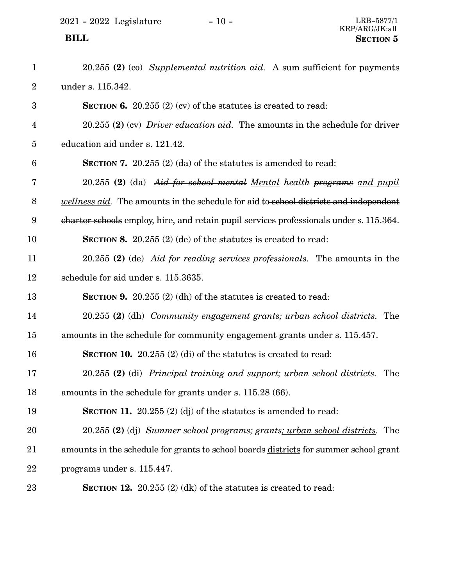| $\mathbf{1}$            | 20.255 (2) (co) Supplemental nutrition aid. A sum sufficient for payments                    |
|-------------------------|----------------------------------------------------------------------------------------------|
| $\boldsymbol{2}$        | under s. 115.342.                                                                            |
| $\boldsymbol{3}$        | <b>SECTION 6.</b> 20.255 (2) (cv) of the statutes is created to read:                        |
| $\overline{\mathbf{4}}$ | 20.255 (2) (cv) Driver education aid. The amounts in the schedule for driver                 |
| $\overline{5}$          | education aid under s. 121.42.                                                               |
| $6\phantom{1}6$         | <b>SECTION 7.</b> 20.255 (2) (da) of the statures is amended to read:                        |
| 7                       | 20.255 (2) (da) Aid for school mental Mental health programs and pupil                       |
| $\, 8$                  | <i>wellness aid.</i> The amounts in the schedule for aid to school districts and independent |
| 9                       | charter schools employ, hire, and retain pupil services professionals under s. 115.364.      |
| 10                      | <b>SECTION 8.</b> 20.255 (2) (de) of the statutes is created to read:                        |
| 11                      | 20.255 (2) (de) Aid for reading services professionals. The amounts in the                   |
| 12                      | schedule for aid under s. 115.3635.                                                          |
| 13                      | <b>SECTION 9.</b> 20.255 (2) (dh) of the statures is created to read:                        |
| 14                      | 20.255 (2) (dh) Community engagement grants; urban school districts. The                     |
| 15                      | amounts in the schedule for community engagement grants under s. 115.457.                    |
| 16                      | <b>SECTION 10.</b> 20.255 $(2)$ (di) of the statutes is created to read:                     |
| 17                      | 20.255 (2) (di) Principal training and support; urban school districts. The                  |
| 18                      | amounts in the schedule for grants under s. 115.28 (66).                                     |
| 19                      | <b>SECTION 11.</b> 20.255 (2) (dj) of the statures is amended to read:                       |
| 20                      | 20.255 (2) (dj) Summer school programs; grants; urban school districts. The                  |
| 21                      | amounts in the schedule for grants to school boards districts for summer school grant        |
| 22                      | programs under s. 115.447.                                                                   |
| 23                      | <b>SECTION 12.</b> 20.255 $(2)$ (dk) of the statutes is created to read:                     |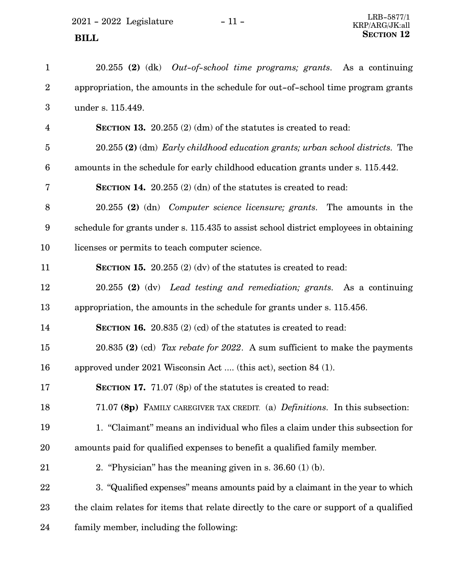2021 - 2022 Legislature - 11 -**SECTION** 12

| $\mathbf{1}$     | $20.255$ (2) (dk) <i>Out-of-school time programs; grants.</i> As a continuing          |
|------------------|----------------------------------------------------------------------------------------|
| $\boldsymbol{2}$ | appropriation, the amounts in the schedule for out-of-school time program grants       |
| 3                | under s. 115.449.                                                                      |
| $\overline{4}$   | <b>SECTION 13.</b> 20.255 $(2)$ (dm) of the statutes is created to read:               |
| $\overline{5}$   | 20.255 (2) (dm) Early childhood education grants; urban school districts. The          |
| 6                | amounts in the schedule for early childhood education grants under s. 115.442.         |
| 7                | <b>SECTION 14.</b> 20.255 $(2)$ (dn) of the statutes is created to read:               |
| 8                | $20.255$ (2) (dn) <i>Computer science licensure; grants</i> . The amounts in the       |
| 9                | schedule for grants under s. 115.435 to assist school district employees in obtaining  |
| 10               | licenses or permits to teach computer science.                                         |
| 11               | <b>SECTION 15.</b> 20.255 $(2)$ (dv) of the statutes is created to read:               |
| 12               | $20.255$ (2) (dv) Lead testing and remediation; grants. As a continuing                |
| 13               | appropriation, the amounts in the schedule for grants under s. 115.456.                |
| 14               | <b>SECTION 16.</b> 20.835 $(2)$ (cd) of the statutes is created to read:               |
| 15               | 20.835 (2) (cd) Tax rebate for 2022. A sum sufficient to make the payments             |
| 16               | approved under 2021 Wisconsin Act  (this act), section 84 (1).                         |
| 17               | <b>SECTION 17.</b> 71.07 (8p) of the statutes is created to read:                      |
| 18               | 71.07 (8p) FAMILY CAREGIVER TAX CREDIT. (a) <i>Definitions</i> . In this subsection:   |
| 19               | 1. "Claimant" means an individual who files a claim under this subsection for          |
| 20               | amounts paid for qualified expenses to benefit a qualified family member.              |
| 21               | 2. "Physician" has the meaning given in s. $36.60$ (1) (b).                            |
| 22               | 3. "Qualified expenses" means amounts paid by a claimant in the year to which          |
| 23               | the claim relates for items that relate directly to the care or support of a qualified |
| 24               | family member, including the following:                                                |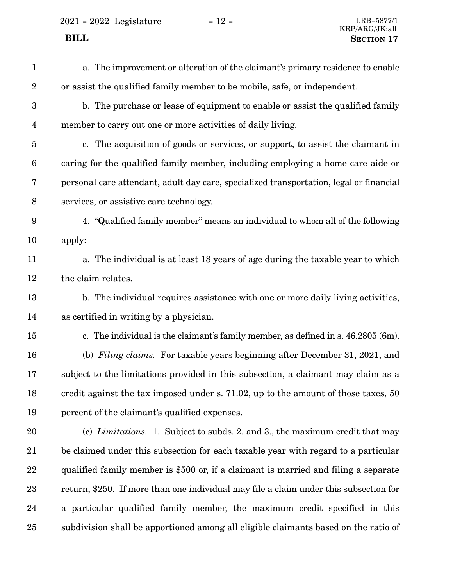2021 - 2022 Legislature - 12 - LRB-5877/1

a. The improvement or alteration of the claimant's primary residence to enable or assist the qualified family member to be mobile, safe, or independent. b. The purchase or lease of equipment to enable or assist the qualified family member to carry out one or more activities of daily living. c. The acquisition of goods or services, or support, to assist the claimant in caring for the qualified family member, including employing a home care aide or personal care attendant, adult day care, specialized transportation, legal or financial services, or assistive care technology. 4. "Qualified family member" means an individual to whom all of the following apply: a. The individual is at least 18 years of age during the taxable year to which the claim relates. b. The individual requires assistance with one or more daily living activities, as certified in writing by a physician. c. The individual is the claimant's family member, as defined in s. 46.2805 (6m). (b) *Filing claims.* For taxable years beginning after December 31, 2021, and subject to the limitations provided in this subsection, a claimant may claim as a credit against the tax imposed under s. 71.02, up to the amount of those taxes, 50 percent of the claimant's qualified expenses. (c) *Limitations.* 1. Subject to subds. 2. and 3., the maximum credit that may be claimed under this subsection for each taxable year with regard to a particular qualified family member is \$500 or, if a claimant is married and filing a separate return, \$250. If more than one individual may file a claim under this subsection for a particular qualified family member, the maximum credit specified in this subdivision shall be apportioned among all eligible claimants based on the ratio of 1 2 3 4 5 6 7 8 9 10 11 12 13 14 15 16 17 18 19 20 21 22 23 24 25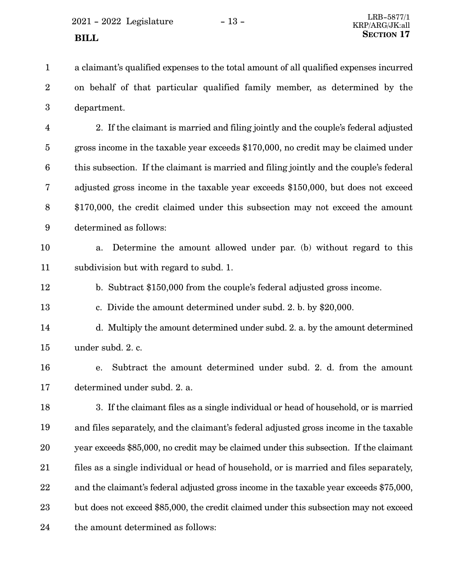a claimant's qualified expenses to the total amount of all qualified expenses incurred on behalf of that particular qualified family member, as determined by the department. 1 2 3

2. If the claimant is married and filing jointly and the couple's federal adjusted gross income in the taxable year exceeds \$170,000, no credit may be claimed under this subsection. If the claimant is married and filing jointly and the couple's federal adjusted gross income in the taxable year exceeds \$150,000, but does not exceed \$170,000, the credit claimed under this subsection may not exceed the amount determined as follows: 4 5 6 7 8 9



a. Determine the amount allowed under par. (b) without regard to this subdivision but with regard to subd. 1. 11

b. Subtract \$150,000 from the couple's federal adjusted gross income. 12

c. Divide the amount determined under subd. 2. b. by \$20,000. 13

d. Multiply the amount determined under subd. 2. a. by the amount determined under subd. 2. c. 14 15

e. Subtract the amount determined under subd. 2. d. from the amount determined under subd. 2. a. 16 17

3. If the claimant files as a single individual or head of household, or is married and files separately, and the claimant's federal adjusted gross income in the taxable year exceeds \$85,000, no credit may be claimed under this subsection. If the claimant files as a single individual or head of household, or is married and files separately, and the claimant's federal adjusted gross income in the taxable year exceeds \$75,000, but does not exceed \$85,000, the credit claimed under this subsection may not exceed the amount determined as follows: 18 19 20 21 22 23 24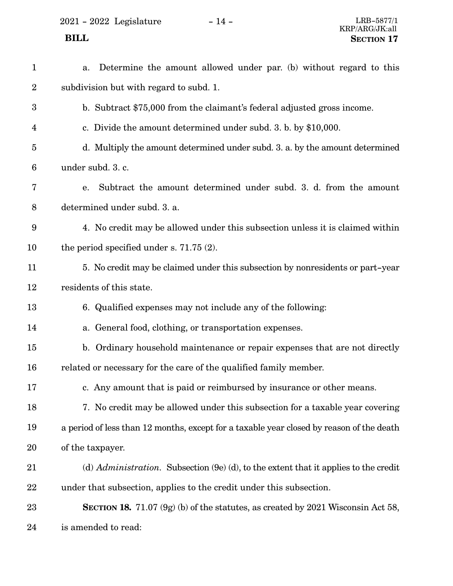2021 - 2022 Legislature - 14 - LRB-5877/1

#### a. Determine the amount allowed under par. (b) without regard to this subdivision but with regard to subd. 1. b. Subtract \$75,000 from the claimant's federal adjusted gross income. c. Divide the amount determined under subd. 3. b. by \$10,000. d. Multiply the amount determined under subd. 3. a. by the amount determined under subd. 3. c. e. Subtract the amount determined under subd. 3. d. from the amount determined under subd. 3. a. 4. No credit may be allowed under this subsection unless it is claimed within the period specified under s. 71.75 (2). 5. No credit may be claimed under this subsection by nonresidents or part-year residents of this state. 6. Qualified expenses may not include any of the following: a. General food, clothing, or transportation expenses. b. Ordinary household maintenance or repair expenses that are not directly related or necessary for the care of the qualified family member. c. Any amount that is paid or reimbursed by insurance or other means. 7. No credit may be allowed under this subsection for a taxable year covering a period of less than 12 months, except for a taxable year closed by reason of the death of the taxpayer. (d) *Administration.* Subsection (9e) (d), to the extent that it applies to the credit under that subsection, applies to the credit under this subsection. **SECTION 18.** 71.07 (9g) (b) of the statutes, as created by 2021 Wisconsin Act 58, is amended to read: 1 2 3 4 5 6 7 8 9 10 11 12 13 14 15 16 17 18 19 20 21 22 23 24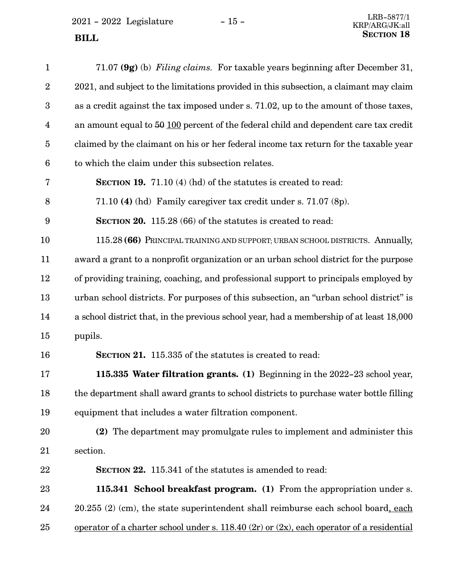| $\mathbf{1}$   | 71.07 (9g) (b) Filing claims. For taxable years beginning after December 31,                  |
|----------------|-----------------------------------------------------------------------------------------------|
| $\overline{2}$ | 2021, and subject to the limitations provided in this subsection, a claimant may claim        |
| 3              | as a credit against the tax imposed under s. 71.02, up to the amount of those taxes,          |
| $\overline{4}$ | an amount equal to $50\,100$ percent of the federal child and dependent care tax credit       |
| $\overline{5}$ | claimed by the claimant on his or her federal income tax return for the taxable year          |
| 6              | to which the claim under this subsection relates.                                             |
| 7              | <b>SECTION 19.</b> 71.10 (4) (hd) of the statutes is created to read:                         |
| 8              | 71.10 (4) (hd) Family caregiver tax credit under s. 71.07 (8p).                               |
| 9              | <b>SECTION 20.</b> 115.28 (66) of the statutes is created to read:                            |
| 10             | 115.28 (66) PRINCIPAL TRAINING AND SUPPORT; URBAN SCHOOL DISTRICTS. Annually,                 |
| 11             | award a grant to a nonprofit organization or an urban school district for the purpose         |
| 12             | of providing training, coaching, and professional support to principals employed by           |
| 13             | urban school districts. For purposes of this subsection, an "urban school district" is        |
| 14             | a school district that, in the previous school year, had a membership of at least 18,000      |
| 15             | pupils.                                                                                       |
| 16             | <b>SECTION 21.</b> 115.335 of the statutes is created to read:                                |
| 17             | 115.335 Water filtration grants. (1) Beginning in the 2022-23 school year,                    |
| 18             | the department shall award grants to school districts to purchase water bottle filling        |
| 19             | equipment that includes a water filtration component.                                         |
| 20             | (2) The department may promulgate rules to implement and administer this                      |
| $21\,$         | section.                                                                                      |
| 22             | <b>SECTION 22.</b> 115.341 of the statutes is amended to read:                                |
| $23\,$         | 115.341 School breakfast program. (1) From the appropriation under s.                         |
| 24             | 20.255 (2) (cm), the state superintendent shall reimburse each school board, each             |
| 25             | operator of a charter school under s. $118.40(2r)$ or $(2x)$ , each operator of a residential |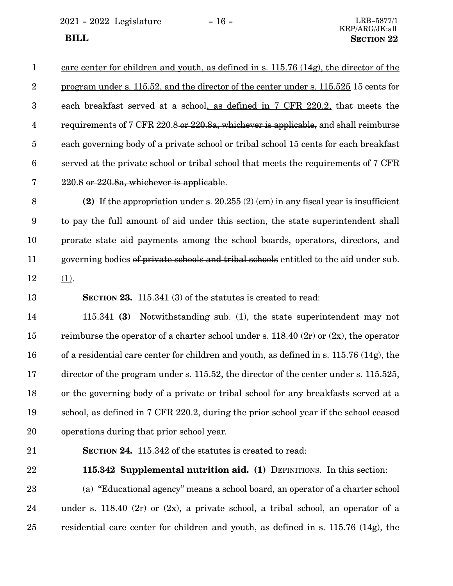2021 - 2022 Legislature - 16 - LRB-5877/1

| -1              | care center for children and youth, as defined in s. $115.76$ (14g), the director of the     |
|-----------------|----------------------------------------------------------------------------------------------|
| $\overline{2}$  | <u>program under s. 115.52, and the director of the center under s. 115.525</u> 15 cents for |
| 3               | each breakfast served at a school, as defined in 7 CFR 220.2, that meets the                 |
| $\overline{4}$  | requirements of 7 CFR 220.8 or 220.8a, whichever is applicable, and shall reimburse          |
| $5\overline{)}$ | each governing body of a private school or tribal school 15 cents for each breakfast         |
| 6               | served at the private school or tribal school that meets the requirements of 7 CFR           |
| 7               | 220.8 or 220.8a, whichever is applicable.                                                    |

**(2)** If the appropriation under s. 20.255 (2) (cm) in any fiscal year is insufficient to pay the full amount of aid under this section, the state superintendent shall prorate state aid payments among the school boards, operators, directors, and governing bodies of private schools and tribal schools entitled to the aid under sub. (1). 8 9 10 11 12

**SECTION 23.** 115.341 (3) of the statutes is created to read: 13

115.341 **(3)** Notwithstanding sub. (1), the state superintendent may not reimburse the operator of a charter school under s.  $118.40$  (2r) or (2x), the operator of a residential care center for children and youth, as defined in s. 115.76 (14g), the director of the program under s. 115.52, the director of the center under s. 115.525, or the governing body of a private or tribal school for any breakfasts served at a school, as defined in 7 CFR 220.2, during the prior school year if the school ceased operations during that prior school year. 14 15 16 17 18 19 20

21

**SECTION 24.** 115.342 of the statutes is created to read:

22

**115.342 Supplemental nutrition aid. (1)** DEFINITIONS. In this section:

(a) "Educational agency" means a school board, an operator of a charter school under s. 118.40 (2r) or (2x), a private school, a tribal school, an operator of a residential care center for children and youth, as defined in s. 115.76 (14g), the 23 24 25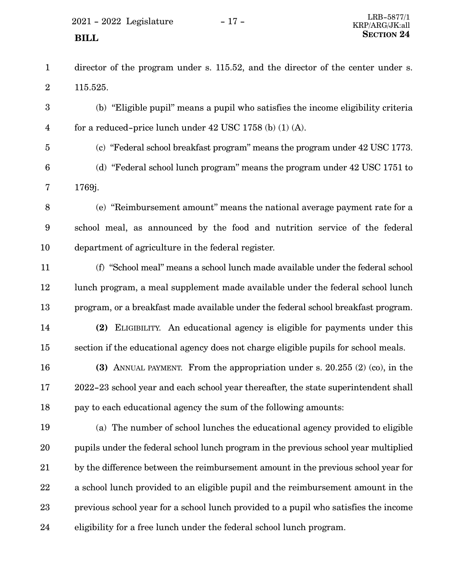$2021 - 2022$  Legislature  $-17 -$ 

- director of the program under s. 115.52, and the director of the center under s. 115.525. 1 2
- (b) "Eligible pupil" means a pupil who satisfies the income eligibility criteria for a reduced-price lunch under  $42$  USC  $1758$  (b)  $(1)$  (A). 3 4
- 5

(c) "Federal school breakfast program" means the program under 42 USC 1773.

- (d) "Federal school lunch program" means the program under 42 USC 1751 to 1769j. 6 7
- (e) "Reimbursement amount" means the national average payment rate for a school meal, as announced by the food and nutrition service of the federal department of agriculture in the federal register. 8 9 10
- (f) "School meal" means a school lunch made available under the federal school lunch program, a meal supplement made available under the federal school lunch program, or a breakfast made available under the federal school breakfast program. **(2)** ELIGIBILITY. An educational agency is eligible for payments under this 11 12 13 14
- section if the educational agency does not charge eligible pupils for school meals. 15
- **(3)** ANNUAL PAYMENT. From the appropriation under s. 20.255 (2) (co), in the 2022-23 school year and each school year thereafter, the state superintendent shall pay to each educational agency the sum of the following amounts: 16 17 18
- (a) The number of school lunches the educational agency provided to eligible pupils under the federal school lunch program in the previous school year multiplied by the difference between the reimbursement amount in the previous school year for a school lunch provided to an eligible pupil and the reimbursement amount in the previous school year for a school lunch provided to a pupil who satisfies the income eligibility for a free lunch under the federal school lunch program. 19 20 21 22 23 24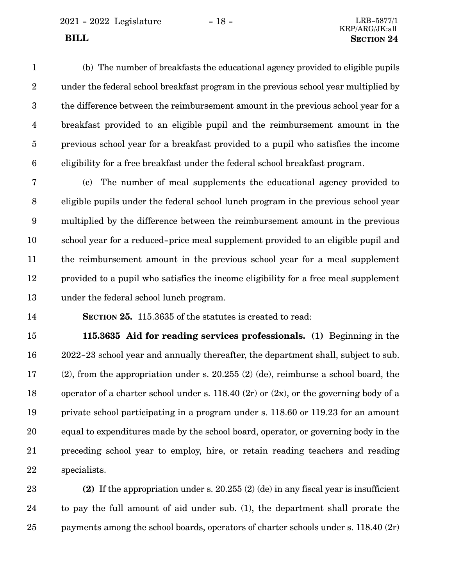2021 - 2022 Legislature - 18 - LRB-5877/1

(b) The number of breakfasts the educational agency provided to eligible pupils under the federal school breakfast program in the previous school year multiplied by the difference between the reimbursement amount in the previous school year for a breakfast provided to an eligible pupil and the reimbursement amount in the previous school year for a breakfast provided to a pupil who satisfies the income eligibility for a free breakfast under the federal school breakfast program. 1 2 3 4 5 6

(c) The number of meal supplements the educational agency provided to eligible pupils under the federal school lunch program in the previous school year multiplied by the difference between the reimbursement amount in the previous school year for a reduced-price meal supplement provided to an eligible pupil and the reimbursement amount in the previous school year for a meal supplement provided to a pupil who satisfies the income eligibility for a free meal supplement under the federal school lunch program. 7 8 9 10 11 12 13

14

**SECTION 25.** 115.3635 of the statutes is created to read:

**115.3635 Aid for reading services professionals. (1)** Beginning in the 2022-23 school year and annually thereafter, the department shall, subject to sub. (2), from the appropriation under s. 20.255 (2) (de), reimburse a school board, the operator of a charter school under s.  $118.40$  (2r) or (2x), or the governing body of a private school participating in a program under s. 118.60 or 119.23 for an amount equal to expenditures made by the school board, operator, or governing body in the preceding school year to employ, hire, or retain reading teachers and reading specialists. 15 16 17 18 19 20 21 22

**(2)** If the appropriation under s. 20.255 (2) (de) in any fiscal year is insufficient to pay the full amount of aid under sub. (1), the department shall prorate the payments among the school boards, operators of charter schools under s. 118.40 (2r) 23 24 25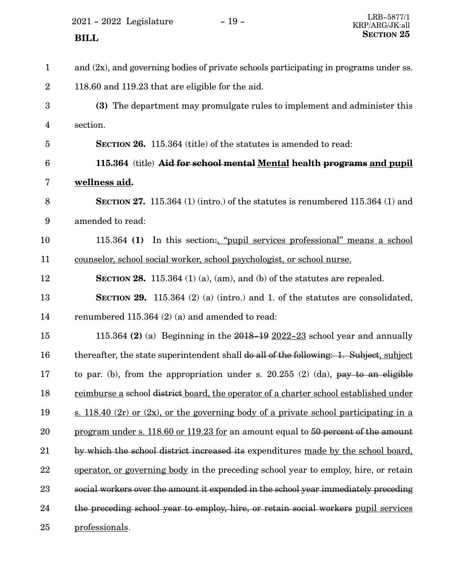$2021$  -  $2022$  Legislature -  $19$  -

| $\mathbf{1}$            | and $(2x)$ , and governing bodies of private schools participating in programs under ss. |
|-------------------------|------------------------------------------------------------------------------------------|
| $\overline{2}$          | 118.60 and 119.23 that are eligible for the aid.                                         |
| 3                       | (3) The department may promulgate rules to implement and administer this                 |
| $\overline{\mathbf{4}}$ | section.                                                                                 |
| 5                       | <b>SECTION 26.</b> 115.364 (title) of the statutes is amended to read:                   |
| $6\phantom{1}6$         | 115.364 (title) Aid for school mental Mental health programs and pupil                   |
| 7                       | wellness aid.                                                                            |
| 8                       | <b>SECTION 27.</b> 115.364 (1) (intro.) of the statutes is renumbered 115.364 (1) and    |
| 9                       | amended to read:                                                                         |
| 10                      | 115.364 (1) In this section: "pupil services professional" means a school                |
| 11                      | counselor, school social worker, school psychologist, or school nurse.                   |
| 12                      | <b>SECTION 28.</b> 115.364 (1) (a), (am), and (b) of the statures are repealed.          |
| 13                      | SECTION 29. 115.364 (2) (a) (intro.) and 1. of the statutes are consolidated,            |
| 14                      | renumbered 115.364 (2) (a) and amended to read:                                          |
| 15                      | 115.364 (2) (a) Beginning in the $2018-19$ $2022-23$ school year and annually            |
| 16                      | thereafter, the state superintendent shall do all of the following: 1. Subject, subject  |
| 17                      | to par. (b), from the appropriation under s. $20.255$ (2) (da), pay to an eligible       |
| 18                      | reimburse a school district board, the operator of a charter school established under    |
| 19                      | s. 118.40 (2r) or (2x), or the governing body of a private school participating in a     |
| 20                      | program under s. 118.60 or 119.23 for an amount equal to 50 percent of the amount        |
| 21                      | by which the school district increased its expenditures made by the school board,        |
| 22                      | operator, or governing body in the preceding school year to employ, hire, or retain      |
| 23                      | social workers over the amount it expended in the school year immediately preceding      |
| 24                      | the preceding school year to employ, hire, or retain social workers pupil services       |
| 25                      | professionals.                                                                           |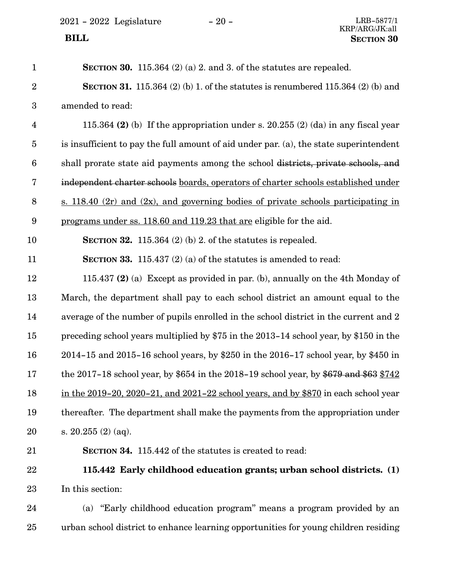| $\mathbf{1}$            | SECTION 30. 115.364 $(2)$ (a) 2. and 3. of the statutes are repealed.                   |
|-------------------------|-----------------------------------------------------------------------------------------|
| $\overline{2}$          | <b>SECTION 31.</b> 115.364 (2) (b) 1. of the statutes is renumbered 115.364 (2) (b) and |
| 3                       | amended to read:                                                                        |
| $\overline{\mathbf{4}}$ | 115.364 (2) (b) If the appropriation under s. 20.255 (2) (da) in any fiscal year        |
| $\overline{5}$          | is insufficient to pay the full amount of aid under par. (a), the state superintendent  |
| $6\phantom{.}6$         | shall prorate state aid payments among the school districts, private schools, and       |
| 7                       | independent charter schools boards, operators of charter schools established under      |
| 8                       | s. 118.40 $(2r)$ and $(2x)$ , and governing bodies of private schools participating in  |
| $9\phantom{.0}$         | programs under ss. 118.60 and 119.23 that are eligible for the aid.                     |
| 10                      | SECTION 32. 115.364 $(2)$ (b) 2. of the statutes is repealed.                           |
| 11                      | <b>SECTION 33.</b> 115.437 (2) (a) of the statures is amended to read:                  |
| 12                      | 115.437 (2) (a) Except as provided in par. (b), annually on the 4th Monday of           |
| 13                      | March, the department shall pay to each school district an amount equal to the          |
| 14                      | average of the number of pupils enrolled in the school district in the current and 2    |
| 15                      | preceding school years multiplied by \$75 in the 2013-14 school year, by \$150 in the   |
| 16                      | 2014-15 and 2015-16 school years, by \$250 in the 2016-17 school year, by \$450 in      |
| 17                      | the 2017-18 school year, by \$654 in the 2018-19 school year, by \$679 and \$63 \$742   |
| 18                      | in the 2019-20, 2020-21, and 2021-22 school years, and by \$870 in each school year     |
| 19                      | thereafter. The department shall make the payments from the appropriation under         |
| 20                      | s. $20.255(2)(aq)$ .                                                                    |
| 21                      | <b>SECTION 34.</b> 115.442 of the statutes is created to read:                          |
| 22                      | 115.442 Early childhood education grants; urban school districts. (1)                   |
| 23                      | In this section:                                                                        |
| 24                      | (a) "Early childhood education program" means a program provided by an                  |
| 25                      | urban school district to enhance learning opportunities for young children residing     |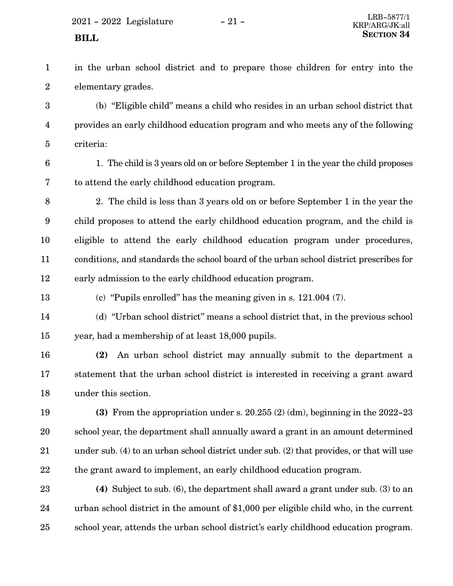in the urban school district and to prepare those children for entry into the elementary grades. 1 2

(b) "Eligible child" means a child who resides in an urban school district that provides an early childhood education program and who meets any of the following criteria: 3 4 5

6

1. The child is 3 years old on or before September 1 in the year the child proposes to attend the early childhood education program. 7

2. The child is less than 3 years old on or before September 1 in the year the child proposes to attend the early childhood education program, and the child is eligible to attend the early childhood education program under procedures, conditions, and standards the school board of the urban school district prescribes for early admission to the early childhood education program. 8 9 10 11 12

13

(c) "Pupils enrolled" has the meaning given in s. 121.004 (7).

(d) "Urban school district" means a school district that, in the previous school year, had a membership of at least 18,000 pupils. 14 15

**(2)** An urban school district may annually submit to the department a statement that the urban school district is interested in receiving a grant award under this section. 16 17 18

**(3)** From the appropriation under s. 20.255 (2) (dm), beginning in the 2022-23 school year, the department shall annually award a grant in an amount determined under sub. (4) to an urban school district under sub. (2) that provides, or that will use the grant award to implement, an early childhood education program. 19 20 21 22

**(4)** Subject to sub. (6), the department shall award a grant under sub. (3) to an urban school district in the amount of \$1,000 per eligible child who, in the current school year, attends the urban school district's early childhood education program. 23 24 25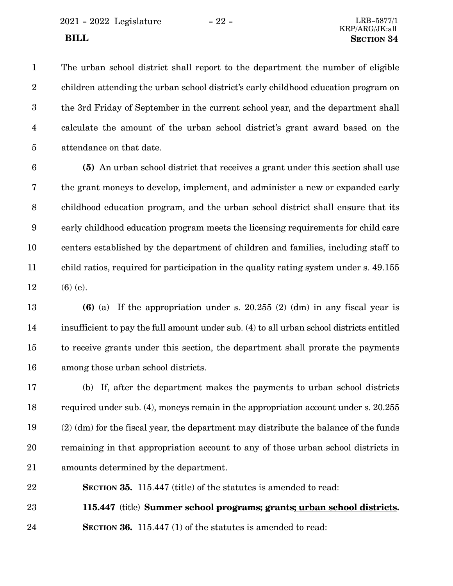The urban school district shall report to the department the number of eligible children attending the urban school district's early childhood education program on the 3rd Friday of September in the current school year, and the department shall calculate the amount of the urban school district's grant award based on the attendance on that date. 1 2 3 4 5

**(5)** An urban school district that receives a grant under this section shall use the grant moneys to develop, implement, and administer a new or expanded early childhood education program, and the urban school district shall ensure that its early childhood education program meets the licensing requirements for child care centers established by the department of children and families, including staff to child ratios, required for participation in the quality rating system under s. 49.155 (6) (e). 6 7 8 9 10 11 12

**(6)** (a) If the appropriation under s. 20.255 (2) (dm) in any fiscal year is insufficient to pay the full amount under sub. (4) to all urban school districts entitled to receive grants under this section, the department shall prorate the payments among those urban school districts. 13 14 15 16

(b) If, after the department makes the payments to urban school districts required under sub. (4), moneys remain in the appropriation account under s. 20.255 (2) (dm) for the fiscal year, the department may distribute the balance of the funds remaining in that appropriation account to any of those urban school districts in amounts determined by the department. 17 18 19 20 21

**SECTION 35.** 115.447 (title) of the statutes is amended to read: 22

**115.447** (title) **Summer school programs; grants; urban school districts. SECTION 36.** 115.447 (1) of the statutes is amended to read: 23 24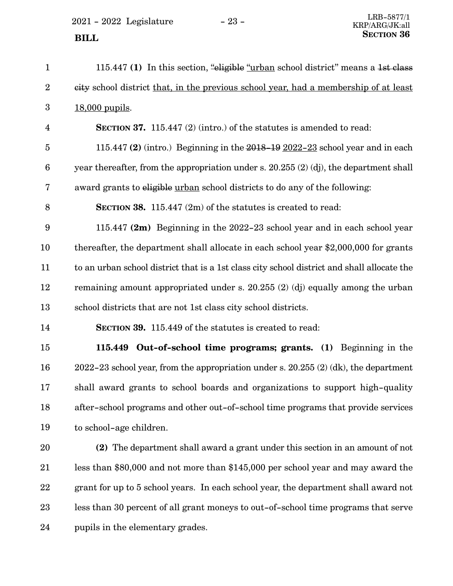$2021 - 2022$  Legislature  $-23 -$ 

115.447 **(1)** In this section, "eligible "urban school district" means a 1st class city school district that, in the previous school year, had a membership of at least 18,000 pupils. **SECTION 37.** 115.447 (2) (intro.) of the statutes is amended to read: 115.447 **(2)** (intro.) Beginning in the 2018-19 2022-23 school year and in each year thereafter, from the appropriation under s. 20.255 (2) (dj), the department shall award grants to eligible urban school districts to do any of the following: **SECTION 38.** 115.447 (2m) of the statutes is created to read: 115.447 **(2m)** Beginning in the 2022-23 school year and in each school year thereafter, the department shall allocate in each school year \$2,000,000 for grants to an urban school district that is a 1st class city school district and shall allocate the remaining amount appropriated under s. 20.255 (2) (dj) equally among the urban school districts that are not 1st class city school districts. **SECTION 39.** 115.449 of the statutes is created to read: **115.449 Out-of-school time programs; grants. (1)** Beginning in the 2022-23 school year, from the appropriation under s. 20.255 (2) (dk), the department shall award grants to school boards and organizations to support high-quality 1 2 3 4 5 6 7 8 9 10 11 12 13 14 15 16 17

to school-age children. 19

18

**(2)** The department shall award a grant under this section in an amount of not less than \$80,000 and not more than \$145,000 per school year and may award the grant for up to 5 school years. In each school year, the department shall award not less than 30 percent of all grant moneys to out-of-school time programs that serve pupils in the elementary grades. 20 21 22 23 24

after-school programs and other out-of-school time programs that provide services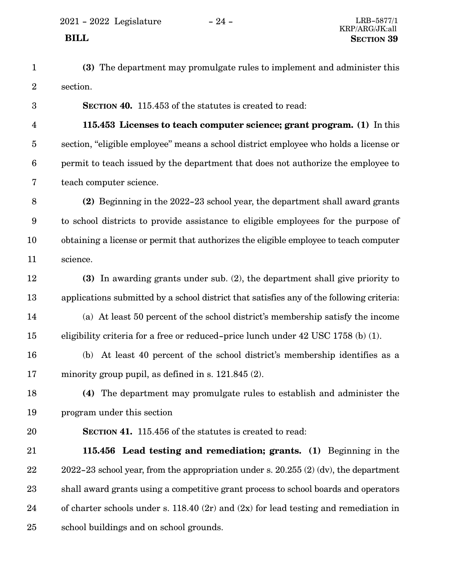2021 - 2022 Legislature - 24 - LRB-5877/1

- **(3)** The department may promulgate rules to implement and administer this section. 1 2
	- **SECTION 40.** 115.453 of the statutes is created to read:
- **115.453 Licenses to teach computer science; grant program. (1)** In this section, "eligible employee" means a school district employee who holds a license or permit to teach issued by the department that does not authorize the employee to teach computer science. 4 5 6 7
- **(2)** Beginning in the 2022-23 school year, the department shall award grants to school districts to provide assistance to eligible employees for the purpose of obtaining a license or permit that authorizes the eligible employee to teach computer science. 8 9 10 11
- **(3)** In awarding grants under sub. (2), the department shall give priority to applications submitted by a school district that satisfies any of the following criteria: 12 13
- (a) At least 50 percent of the school district's membership satisfy the income eligibility criteria for a free or reduced-price lunch under 42 USC 1758 (b) (1). 14 15
- (b) At least 40 percent of the school district's membership identifies as a minority group pupil, as defined in s. 121.845 (2). 16 17
- **(4)** The department may promulgate rules to establish and administer the program under this section 18 19
- 20

3

**SECTION 41.** 115.456 of the statutes is created to read:

**115.456 Lead testing and remediation; grants. (1)** Beginning in the 2022-23 school year, from the appropriation under s. 20.255 (2) (dv), the department shall award grants using a competitive grant process to school boards and operators of charter schools under s. 118.40 (2r) and (2x) for lead testing and remediation in school buildings and on school grounds. 21 22 23 24 25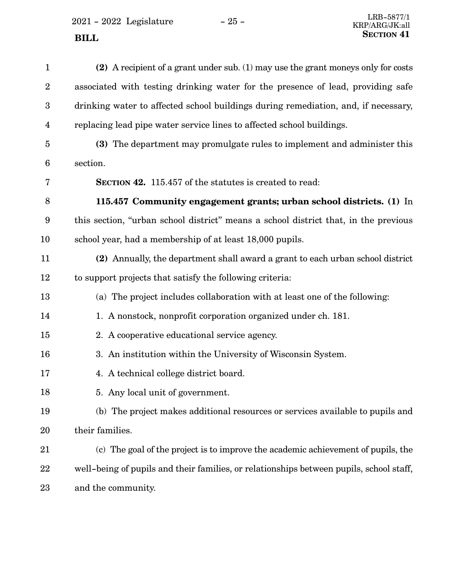$2021$  -  $2022\,$  Legislature  $\,$  –  $\,25$  -  $\,$ 

| $\mathbf{1}$            | (2) A recipient of a grant under sub. $(1)$ may use the grant moneys only for costs     |
|-------------------------|-----------------------------------------------------------------------------------------|
| $\boldsymbol{2}$        | associated with testing drinking water for the presence of lead, providing safe         |
| $\boldsymbol{3}$        | drinking water to affected school buildings during remediation, and, if necessary,      |
| $\overline{\mathbf{4}}$ | replacing lead pipe water service lines to affected school buildings.                   |
| $\overline{5}$          | (3) The department may promulgate rules to implement and administer this                |
| $\boldsymbol{6}$        | section.                                                                                |
| 7                       | <b>SECTION 42.</b> 115.457 of the statutes is created to read:                          |
| 8                       | 115.457 Community engagement grants; urban school districts. (1) In                     |
| 9                       | this section, "urban school district" means a school district that, in the previous     |
| 10                      | school year, had a membership of at least 18,000 pupils.                                |
| 11                      | (2) Annually, the department shall award a grant to each urban school district          |
| 12                      | to support projects that satisfy the following criteria:                                |
| 13                      | (a) The project includes collaboration with at least one of the following:              |
| 14                      | 1. A nonstock, nonprofit corporation organized under ch. 181.                           |
| 15                      | 2. A cooperative educational service agency.                                            |
| 16                      | 3. An institution within the University of Wisconsin System.                            |
| 17                      | 4. A technical college district board.                                                  |
| 18                      | 5. Any local unit of government.                                                        |
| 19                      | (b) The project makes additional resources or services available to pupils and          |
| 20                      | their families.                                                                         |
| 21                      | (c) The goal of the project is to improve the academic achievement of pupils, the       |
| 22                      | well-being of pupils and their families, or relationships between pupils, school staff, |
| 23                      | and the community.                                                                      |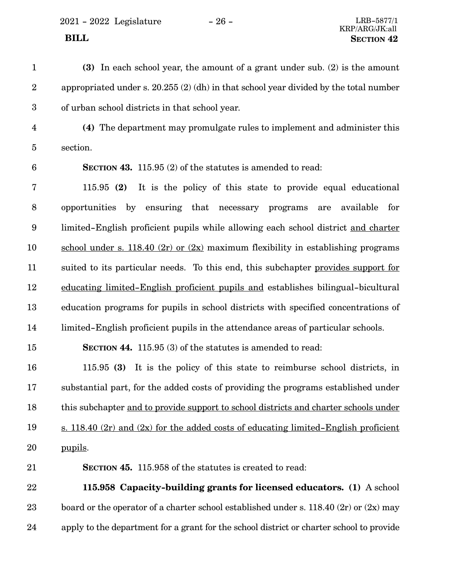$2021 - 2022$  Legislature  $-26 -$  LRB-5877/1

| $\mathbf{1}$            | (3) In each school year, the amount of a grant under sub. (2) is the amount                |
|-------------------------|--------------------------------------------------------------------------------------------|
| $\sqrt{2}$              | appropriated under s. $20.255(2)$ (dh) in that school year divided by the total number     |
| $\boldsymbol{3}$        | of urban school districts in that school year.                                             |
| $\overline{\mathbf{4}}$ | (4) The department may promulgate rules to implement and administer this                   |
| $\overline{5}$          | section.                                                                                   |
| $6\phantom{1}6$         | <b>SECTION 43.</b> 115.95 (2) of the statutes is amended to read:                          |
| 7                       | It is the policy of this state to provide equal educational<br>115.95(2)                   |
| $\, 8$                  | opportunities by ensuring that necessary programs<br>available for<br>are                  |
| $\boldsymbol{9}$        | limited-English proficient pupils while allowing each school district and charter          |
| 10                      | school under s. 118.40 (2r) or $(2x)$ maximum flexibility in establishing programs         |
| 11                      | suited to its particular needs. To this end, this subchapter provides support for          |
| 12                      | educating limited–English proficient pupils and establishes bilingual–bicultural           |
| 13                      | education programs for pupils in school districts with specified concentrations of         |
| 14                      | limited-English proficient pupils in the attendance areas of particular schools.           |
| 15                      | <b>SECTION 44.</b> 115.95 (3) of the statutes is amended to read:                          |
| 16                      | 115.95 (3) It is the policy of this state to reimburse school districts, in                |
| 17                      | substantial part, for the added costs of providing the programs established under          |
| 18                      | this subchapter and to provide support to school districts and charter schools under       |
| 19                      | <u>s. 118.40 (2r) and (2x) for the added costs of educating limited–English proficient</u> |
| 20                      | pupils.                                                                                    |
| 21                      | <b>SECTION 45.</b> 115.958 of the statutes is created to read:                             |
| 22                      | 115.958 Capacity-building grants for licensed educators. (1) A school                      |
| 23                      | board or the operator of a charter school established under s. 118.40 $(2r)$ or $(2x)$ may |
| 24                      | apply to the department for a grant for the school district or charter school to provide   |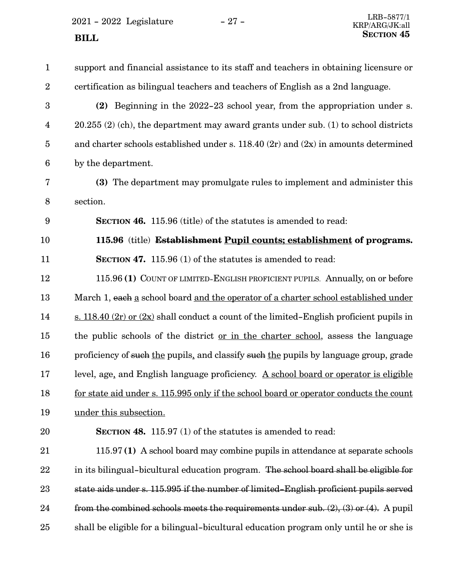2021 - 2022 Legislature - 27 -**SECTION** 45

| $\mathbf{1}$            | support and financial assistance to its staff and teachers in obtaining licensure or         |
|-------------------------|----------------------------------------------------------------------------------------------|
| $\boldsymbol{2}$        | certification as bilingual teachers and teachers of English as a 2nd language.               |
| 3                       | (2) Beginning in the 2022-23 school year, from the appropriation under s.                    |
| $\overline{\mathbf{4}}$ | $20.255$ (2) (ch), the department may award grants under sub. (1) to school districts        |
| $\overline{5}$          | and charter schools established under s. $118.40(2r)$ and $(2x)$ in amounts determined       |
| $6\phantom{.}6$         | by the department.                                                                           |
| 7                       | (3) The department may promulgate rules to implement and administer this                     |
| $8\,$                   | section.                                                                                     |
| 9                       | <b>SECTION 46.</b> 115.96 (title) of the statutes is amended to read:                        |
| 10                      | 115.96 (title) Establishment Pupil counts; establishment of programs.                        |
| 11                      | <b>SECTION 47.</b> 115.96 (1) of the statutes is amended to read:                            |
| 12                      | 115.96 (1) COUNT OF LIMITED-ENGLISH PROFICIENT PUPILS. Annually, on or before                |
| 13                      | March 1, each a school board and the operator of a charter school established under          |
| 14                      | s. 118.40 $(2r)$ or $(2x)$ shall conduct a count of the limited–English proficient pupils in |
| 15                      | the public schools of the district <u>or in the charter school</u> , assess the language     |
| 16                      | proficiency of such the pupils, and classify such the pupils by language group, grade        |
| 17                      | level, age, and English language proficiency. A school board or operator is eligible         |
| 18                      | for state aid under s. 115.995 only if the school board or operator conducts the count       |
| 19                      | under this subsection.                                                                       |
| 20                      | <b>SECTION 48.</b> 115.97 (1) of the statutes is amended to read:                            |
| 21                      | 115.97 (1) A school board may combine pupils in attendance at separate schools               |
| 22                      | in its bilingual-bicultural education program. The school board shall be eligible for        |
| 23                      | state aids under s. 115.995 if the number of limited-English proficient pupils served        |
| 24                      | from the combined schools meets the requirements under sub. $(2)$ , $(3)$ or $(4)$ . A pupil |
| 25                      | shall be eligible for a bilingual-bicultural education program only until he or she is       |
|                         |                                                                                              |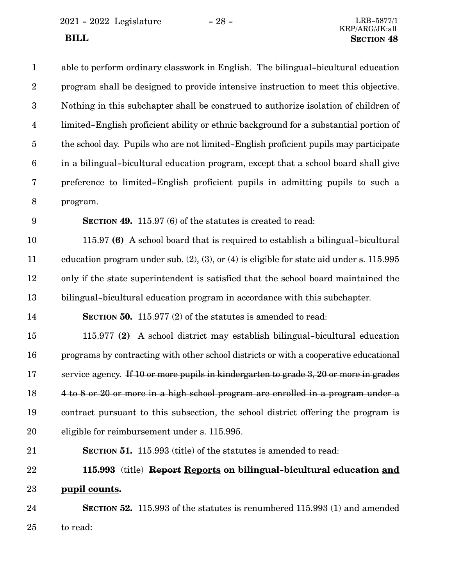$\,$  2021 - 2022  $\,$  Legislature  $\,$   $\,$   $\,$  –  $\,$  28 -  $\,$ 

| $\mathbf{1}$            | able to perform ordinary classwork in English. The bilingual-bicultural education                |
|-------------------------|--------------------------------------------------------------------------------------------------|
| $\sqrt{2}$              | program shall be designed to provide intensive instruction to meet this objective.               |
| $\boldsymbol{3}$        | Nothing in this subchapter shall be construed to authorize isolation of children of              |
| $\overline{\mathbf{4}}$ | limited-English proficient ability or ethnic background for a substantial portion of             |
| $\overline{5}$          | the school day. Pupils who are not limited–English proficient pupils may participate             |
| $\boldsymbol{6}$        | in a bilingual-bicultural education program, except that a school board shall give               |
| $\bf 7$                 | preference to limited-English proficient pupils in admitting pupils to such a                    |
| $8\,$                   | program.                                                                                         |
| $9\phantom{.0}$         | <b>SECTION 49.</b> 115.97 (6) of the statutes is created to read:                                |
| 10                      | 115.97 (6) A school board that is required to establish a bilingual-bicultural                   |
| 11                      | education program under sub. $(2)$ , $(3)$ , or $(4)$ is eligible for state aid under s. 115.995 |
| 12                      | only if the state superintendent is satisfied that the school board maintained the               |
| 13                      | bilingual-bicultural education program in accordance with this subchapter.                       |
| 14                      | <b>SECTION 50.</b> 115.977 (2) of the statutes is amended to read:                               |
| 15                      | 115.977 (2) A school district may establish bilingual-bicultural education                       |
| 16                      | programs by contracting with other school districts or with a cooperative educational            |
| 17                      | service agency. If 10 or more pupils in kindergarten to grade 3, 20 or more in grades            |
| 18                      | 4 to 8 or 20 or more in a high school program are enrolled in a program under a                  |
| 19                      | contract pursuant to this subsection, the school district offering the program is                |
| 20                      | eligible for reimbursement under s. 115.995.                                                     |
| 21                      | <b>SECTION 51.</b> 115.993 (title) of the statutes is amended to read:                           |
| 22                      | 115.993 (title) Report Reports on bilingual-bicultural education and                             |
| 23                      | pupil counts.                                                                                    |
| 24                      | <b>SECTION 52.</b> 115.993 of the statutes is renumbered 115.993 (1) and amended                 |
| 25                      | to read:                                                                                         |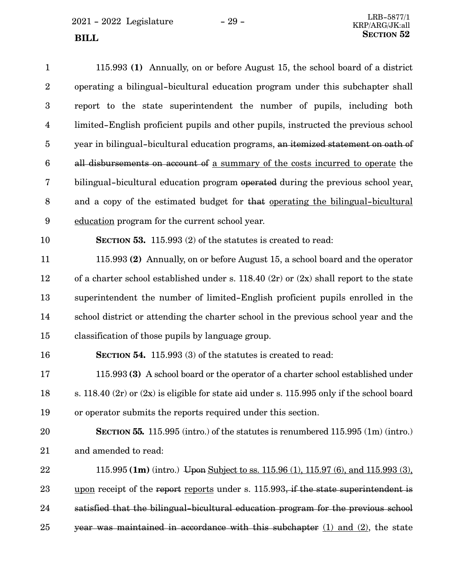$2021 - 2022$  Legislature  $-29 -$ <br>ERB-5877/1

| $\mathbf{1}$     | 115.993 (1) Annually, on or before August 15, the school board of a district                   |
|------------------|------------------------------------------------------------------------------------------------|
| $\boldsymbol{2}$ | operating a bilingual-bicultural education program under this subchapter shall                 |
| 3                | report to the state superintendent the number of pupils, including both                        |
| $\overline{4}$   | limited–English proficient pupils and other pupils, instructed the previous school             |
| $\overline{5}$   | year in bilingual-bicultural education programs, an itemized statement on oath of              |
| $6\phantom{.}6$  | all disbursements on account of a summary of the costs incurred to operate the                 |
| 7                | bilingual-bicultural education program operated during the previous school year.               |
| $8\,$            | and a copy of the estimated budget for that <u>operating the bilingual-bicultural</u>          |
| $9\phantom{.0}$  | education program for the current school year.                                                 |
| 10               | <b>SECTION 53.</b> 115.993 (2) of the statutes is created to read:                             |
| 11               | 115.993 (2) Annually, on or before August 15, a school board and the operator                  |
| 12               | of a charter school established under s. 118.40 $(2r)$ or $(2x)$ shall report to the state     |
| 13               | superintendent the number of limited-English proficient pupils enrolled in the                 |
| 14               | school district or attending the charter school in the previous school year and the            |
| 15               | classification of those pupils by language group.                                              |
| 16               | <b>SECTION 54.</b> 115.993 (3) of the statutes is created to read:                             |
| 17               | 115.993 (3) A school board or the operator of a charter school established under               |
| 18               | s. 118.40 $(2r)$ or $(2x)$ is eligible for state aid under s. 115.995 only if the school board |
| 19               | or operator submits the reports required under this section.                                   |
| 20               | SECTION 55. 115.995 (intro.) of the statutes is renumbered $115.995$ (1m) (intro.)             |
| 21               | and amended to read:                                                                           |
| 22               | 115.995 (1m) (intro.) Upon Subject to ss. 115.96 (1), 115.97 (6), and 115.993 (3).             |
| 23               | upon receipt of the report reports under s. 115.993, if the state superintendent is            |

satisfied that the bilingual-bicultural education program for the previous school year was maintained in accordance with this subchapter  $(1)$  and  $(2)$ , the state 24 25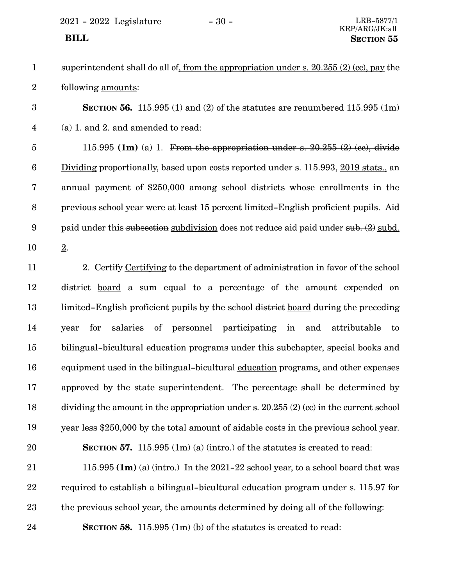| superintendent shall do all of, from the appropriation under s. $20.255(2)$ (cc), pay the |
|-------------------------------------------------------------------------------------------|
| following <u>amounts</u> :                                                                |

**SECTION** 56. 115.995 (1) and (2) of the statutes are renumbered 115.995 (1m) (a) 1. and 2. and amended to read: 3 4

115.995  $(1m)$  (a) 1. From the appropriation under s.  $20.255$   $(2)$   $(ec)$ , divide Dividing proportionally, based upon costs reported under s. 115.993, 2019 stats., an annual payment of \$250,000 among school districts whose enrollments in the previous school year were at least 15 percent limited-English proficient pupils. Aid paid under this subsection subdivision does not reduce aid paid under sub. (2) subd. 2. 5 6 7 8 9 10

2. Certify Certifying to the department of administration in favor of the school district board a sum equal to a percentage of the amount expended on limited-English proficient pupils by the school district board during the preceding year for salaries of personnel participating in and attributable to bilingual-bicultural education programs under this subchapter, special books and equipment used in the bilingual-bicultural education programs, and other expenses approved by the state superintendent. The percentage shall be determined by dividing the amount in the appropriation under s. 20.255 (2) (cc) in the current school year less \$250,000 by the total amount of aidable costs in the previous school year. **SECTION 57.** 115.995 (1m) (a) (intro.) of the statutes is created to read: 11 12 13 14 15 16 17 18 19 20

115.995 **(1m)** (a) (intro.) In the 2021-22 school year, to a school board that was required to establish a bilingual-bicultural education program under s. 115.97 for the previous school year, the amounts determined by doing all of the following: 21 22 23

24

**SECTION 58.** 115.995 (1m) (b) of the statutes is created to read: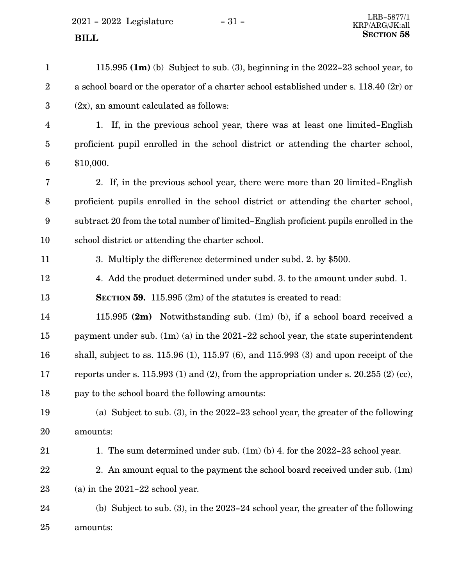| $\mathbf{1}$            | 115.995 $(1m)$ (b) Subject to sub. (3), beginning in the 2022-23 school year, to            |
|-------------------------|---------------------------------------------------------------------------------------------|
| $\boldsymbol{2}$        | a school board or the operator of a charter school established under s. 118.40 (2r) or      |
| $\boldsymbol{3}$        | $(2x)$ , an amount calculated as follows:                                                   |
| $\overline{\mathbf{4}}$ | 1. If, in the previous school year, there was at least one limited-English                  |
| $\overline{5}$          | proficient pupil enrolled in the school district or attending the charter school,           |
| 6                       | \$10,000.                                                                                   |
| 7                       | 2. If, in the previous school year, there were more than 20 limited–English                 |
| 8                       | proficient pupils enrolled in the school district or attending the charter school,          |
| 9                       | subtract 20 from the total number of limited-English proficient pupils enrolled in the      |
| 10                      | school district or attending the charter school.                                            |
| 11                      | 3. Multiply the difference determined under subd. 2. by \$500.                              |
| 12                      | 4. Add the product determined under subd. 3. to the amount under subd. 1.                   |
| 13                      | <b>SECTION 59.</b> 115.995 $(2m)$ of the statutes is created to read:                       |
| 14                      | 115.995 $(2m)$ Notwithstanding sub. $(1m)$ (b), if a school board received a                |
| 15                      | payment under sub. $(1m)(a)$ in the 2021-22 school year, the state superintendent           |
| 16                      | shall, subject to ss. $115.96$ (1), $115.97$ (6), and $115.993$ (3) and upon receipt of the |
| 17                      | reports under s. 115.993 (1) and (2), from the appropriation under s. $20.255$ (2) (cc),    |
| 18                      | pay to the school board the following amounts:                                              |
| 19                      | (a) Subject to sub. $(3)$ , in the 2022-23 school year, the greater of the following        |
| 20                      | amounts:                                                                                    |
| 21                      | 1. The sum determined under sub. $(1m)(b)$ 4. for the 2022–23 school year.                  |
| 22                      | 2. An amount equal to the payment the school board received under sub. (1m)                 |
| 23                      | (a) in the $2021-22$ school year.                                                           |
| 24                      | (b) Subject to sub. $(3)$ , in the 2023-24 school year, the greater of the following        |
| 25                      | amounts:                                                                                    |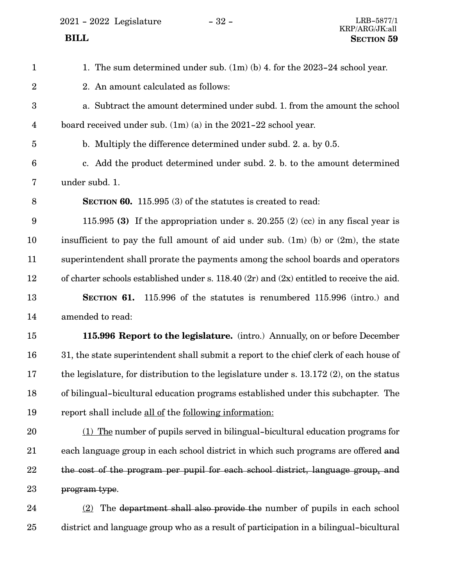2021 - 2022 Legislature - 32 - LRB-5877/1

1. The sum determined under sub. (1m) (b) 4. for the 2023-24 school year. 2. An amount calculated as follows: a. Subtract the amount determined under subd. 1. from the amount the school board received under sub. (1m) (a) in the 2021-22 school year. b. Multiply the difference determined under subd. 2. a. by 0.5. c. Add the product determined under subd. 2. b. to the amount determined under subd. 1. **SECTION 60.** 115.995 (3) of the statutes is created to read: 115.995 **(3)** If the appropriation under s. 20.255 (2) (cc) in any fiscal year is insufficient to pay the full amount of aid under sub.  $(1m)$  (b) or  $(2m)$ , the state superintendent shall prorate the payments among the school boards and operators of charter schools established under s. 118.40 (2r) and (2x) entitled to receive the aid. **SECTION** 61. 115.996 of the statutes is renumbered 115.996 (intro.) and amended to read: **115.996 Report to the legislature.** (intro.) Annually, on or before December 31, the state superintendent shall submit a report to the chief clerk of each house of the legislature, for distribution to the legislature under s. 13.172 (2), on the status of bilingual-bicultural education programs established under this subchapter. The report shall include all of the following information: (1) The number of pupils served in bilingual-bicultural education programs for each language group in each school district in which such programs are offered and the cost of the program per pupil for each school district, language group, and program type. (2) The department shall also provide the number of pupils in each school district and language group who as a result of participation in a bilingual-bicultural 1 2 3 4 5 6 7 8 9 10 11 12 13 14 15 16 17 18 19 20 21 22 23 24 25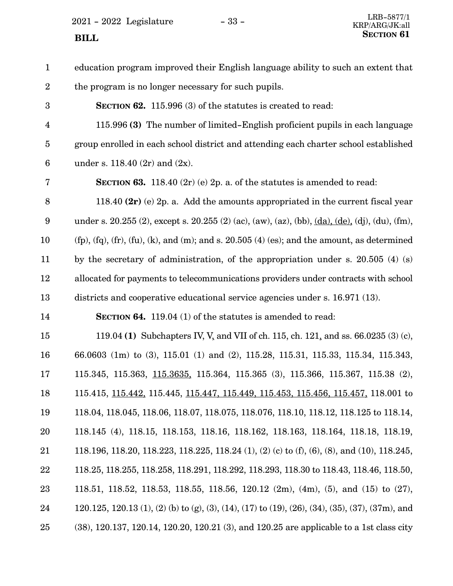$2021$  -  $2022\,$  Legislature  $\hskip 5mm -33$  -

| $\mathbf{1}$     | education program improved their English language ability to such an extent that                                |
|------------------|-----------------------------------------------------------------------------------------------------------------|
| $\overline{2}$   | the program is no longer necessary for such pupils.                                                             |
| 3                | SECTION 62. 115.996 (3) of the statutes is created to read:                                                     |
| $\overline{4}$   | 115.996 (3) The number of limited–English proficient pupils in each language                                    |
| $\overline{5}$   | group enrolled in each school district and attending each charter school established                            |
| $\boldsymbol{6}$ | under s. 118.40 $(2r)$ and $(2x)$ .                                                                             |
| 7                | <b>SECTION 63.</b> 118.40 (2r) (e) 2p. a. of the statures is amended to read:                                   |
| 8                | 118.40 $(2r)$ (e) 2p. a. Add the amounts appropriated in the current fiscal year                                |
| 9                | under s. 20.255 (2), except s. 20.255 (2) (ac), (aw), (az), (bb), $(da)$ , $(de)$ , (dj), (du), (fm),           |
| 10               | $(fp)$ , $(fq)$ , $(fr)$ , $(fu)$ , $(k)$ , and $(m)$ ; and s. 20.505 $(4)$ (es); and the amount, as determined |
| 11               | by the secretary of administration, of the appropriation under s. 20.505 $(4)$ (s)                              |
| 12               | allocated for payments to telecommunications providers under contracts with school                              |
| 13               | districts and cooperative educational service agencies under s. 16.971 (13).                                    |
| 14               | <b>SECTION 64.</b> 119.04 (1) of the statutes is amended to read:                                               |
| 15               | 119.04 (1) Subchapters IV, V, and VII of ch. 115, ch. 121, and ss. 66.0235 (3) (c),                             |
| 16               | 66.0603 (1m) to (3), 115.01 (1) and (2), 115.28, 115.31, 115.33, 115.34, 115.343,                               |
| 17               | 115.345, 115.363, 115.3635, 115.364, 115.365 (3), 115.366, 115.367, 115.38 (2),                                 |
| 18               | 115.415, 115.442, 115.445, 115.447, 115.449, 115.453, 115.456, 115.457, 118.001 to                              |
| 19               | 118.04, 118.045, 118.06, 118.07, 118.075, 118.076, 118.10, 118.12, 118.125 to 118.14,                           |
| 20               | 118.145 (4), 118.15, 118.153, 118.16, 118.162, 118.163, 118.164, 118.18, 118.19,                                |
| 21               | 118.196, 118.20, 118.223, 118.225, 118.24 (1), (2) (c) to (f), (6), (8), and (10), 118.245,                     |
| 22               | 118.25, 118.255, 118.258, 118.291, 118.292, 118.293, 118.30 to 118.43, 118.46, 118.50,                          |
| 23               | 118.51, 118.52, 118.53, 118.55, 118.56, 120.12 (2m), (4m), (5), and (15) to (27),                               |
| 24               | 120.125, 120.13 (1), (2) (b) to (g), (3), (14), (17) to (19), (26), (34), (35), (37), (37m), and                |
| 25               | (38), 120.137, 120.14, 120.20, 120.21 (3), and 120.25 are applicable to a 1st class city                        |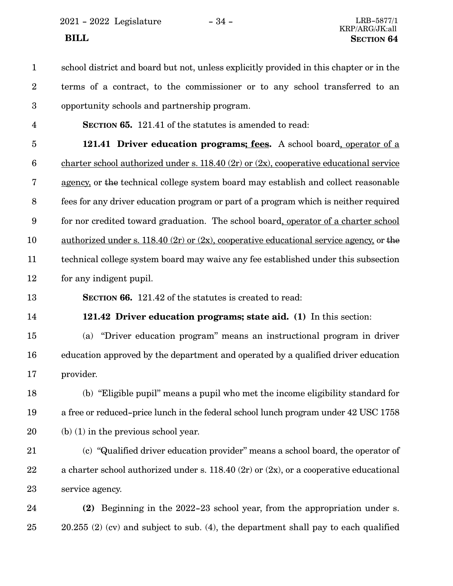2021 - 2022 Legislature - 34 - LRB-5877/1

school district and board but not, unless explicitly provided in this chapter or in the terms of a contract, to the commissioner or to any school transferred to an opportunity schools and partnership program. 1 2 3

4

**SECTION 65.** 121.41 of the statutes is amended to read:

**121.41 Driver education programs; fees.** A school board, operator of a charter school authorized under s. 118.40 (2r) or (2x), cooperative educational service agency, or the technical college system board may establish and collect reasonable fees for any driver education program or part of a program which is neither required for nor credited toward graduation. The school board, operator of a charter school authorized under s. 118.40 (2r) or (2x), cooperative educational service agency, or the technical college system board may waive any fee established under this subsection for any indigent pupil. 5 6 7 8 9 10 11 12

13

**SECTION 66.** 121.42 of the statutes is created to read:

14

**121.42 Driver education programs; state aid. (1)** In this section:

(a) "Driver education program" means an instructional program in driver education approved by the department and operated by a qualified driver education provider. 15 16 17

(b) "Eligible pupil" means a pupil who met the income eligibility standard for a free or reduced-price lunch in the federal school lunch program under 42 USC 1758 (b) (1) in the previous school year. 18 19 20

(c) "Qualified driver education provider" means a school board, the operator of a charter school authorized under s. 118.40 (2r) or (2x), or a cooperative educational service agency. 21 22 23

**(2)** Beginning in the 2022-23 school year, from the appropriation under s. 20.255 (2) (cv) and subject to sub. (4), the department shall pay to each qualified 24 25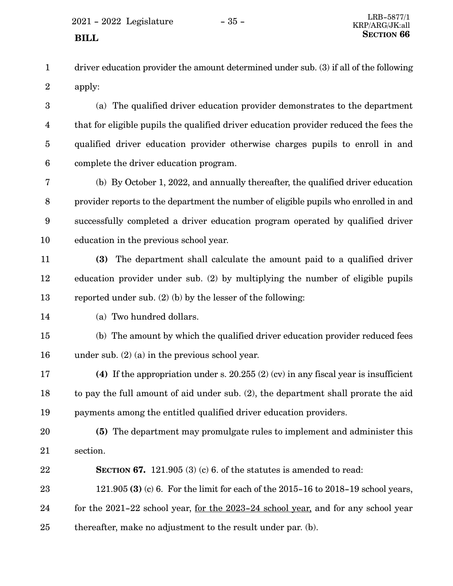driver education provider the amount determined under sub. (3) if all of the following apply: 1 2

(a) The qualified driver education provider demonstrates to the department that for eligible pupils the qualified driver education provider reduced the fees the qualified driver education provider otherwise charges pupils to enroll in and complete the driver education program. 3 4 5 6

(b) By October 1, 2022, and annually thereafter, the qualified driver education provider reports to the department the number of eligible pupils who enrolled in and successfully completed a driver education program operated by qualified driver education in the previous school year. 7 8 9 10

- **(3)** The department shall calculate the amount paid to a qualified driver education provider under sub. (2) by multiplying the number of eligible pupils reported under sub. (2) (b) by the lesser of the following: 11 12 13
- 14

(a) Two hundred dollars.

(b) The amount by which the qualified driver education provider reduced fees under sub. (2) (a) in the previous school year. 15 16

**(4)** If the appropriation under s. 20.255 (2) (cv) in any fiscal year is insufficient to pay the full amount of aid under sub. (2), the department shall prorate the aid payments among the entitled qualified driver education providers. 17 18 19

**(5)** The department may promulgate rules to implement and administer this section. 20 21

**SECTION 67.** 121.905 (3) (c) 6. of the statutes is amended to read: 121.905 **(3)** (c) 6. For the limit for each of the 2015-16 to 2018-19 school years, for the 2021-22 school year, for the 2023-24 school year, and for any school year thereafter, make no adjustment to the result under par. (b). 22 23 24 25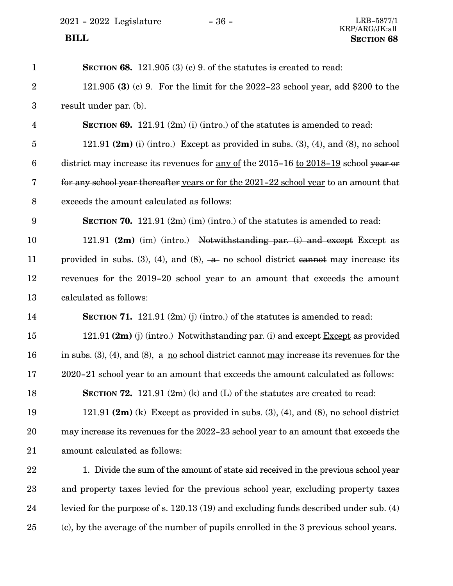$\,$  2021 - 2022  $\,$  Legislature  $\,$   $\,$   $\,$  –  $\,$  36 -  $\,$ 

| $\mathbf{1}$     | SECTION 68. 121.905 $(3)$ $(c)$ 9. of the statutes is created to read:                      |
|------------------|---------------------------------------------------------------------------------------------|
| $\overline{2}$   | 121.905 (3) (c) 9. For the limit for the 2022–23 school year, add \$200 to the              |
| $\boldsymbol{3}$ | result under par. (b).                                                                      |
| $\overline{4}$   | <b>SECTION 69.</b> 121.91 $(2m)$ (i) (intro.) of the statutes is amended to read:           |
| $\overline{5}$   | 121.91 $(2m)$ (i) (intro.) Except as provided in subs. (3), (4), and (8), no school         |
| $6\phantom{.}6$  | district may increase its revenues for <u>any of</u> the 2015-16 to 2018-19 school year or  |
| 7                | for any school year thereafter years or for the 2021-22 school year to an amount that       |
| $8\,$            | exceeds the amount calculated as follows:                                                   |
| 9                | <b>SECTION 70.</b> 121.91 $(2m)$ (im) (intro.) of the statutes is amended to read:          |
| 10               | 121.91 $(2m)$ (im) (intro.) Notwithstanding par. (i) and except Except as                   |
| 11               | provided in subs. (3), (4), and (8), $-a$ no school district cannot may increase its        |
| 12               | revenues for the 2019-20 school year to an amount that exceeds the amount                   |
| 13               | calculated as follows:                                                                      |
| 14               | <b>SECTION 71.</b> 121.91 $(2m)(j)(in)$ intro.) of the statutes is amended to read:         |
| 15               | 121.91 $(2m)$ (j) (intro.) Notwithstanding par. (i) and except Except as provided           |
| 16               | in subs. (3), (4), and (8), $a$ no school district cannot may increase its revenues for the |
| 17               | 2020-21 school year to an amount that exceeds the amount calculated as follows:             |
| 18               | SECTION $72. 121.91$ (2m) (k) and (L) of the statutes are created to read:                  |
| 19               | 121.91 $(2m)$ (k) Except as provided in subs. (3), (4), and (8), no school district         |
| 20               | may increase its revenues for the 2022-23 school year to an amount that exceeds the         |
| 21               | amount calculated as follows:                                                               |
| 22               | 1. Divide the sum of the amount of state aid received in the previous school year           |
| 23               | and property taxes levied for the previous school year, excluding property taxes            |
| 24               | levied for the purpose of s. 120.13 (19) and excluding funds described under sub. (4)       |
| 25               | (c), by the average of the number of pupils enrolled in the 3 previous school years.        |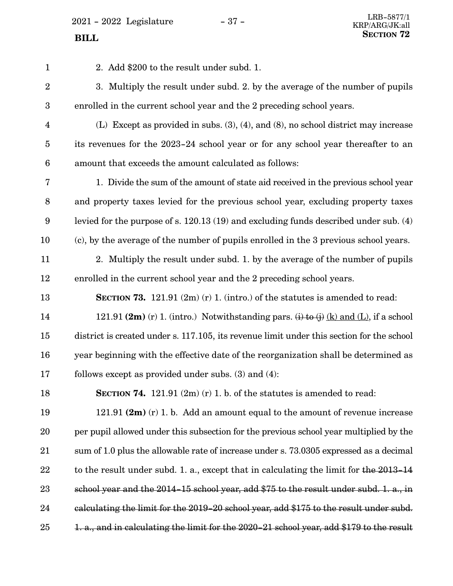$2021$  -  $2022$  Legislature -  $37$  -

| $\mathbf{1}$     | 2. Add \$200 to the result under subd. 1.                                                   |
|------------------|---------------------------------------------------------------------------------------------|
| $\overline{2}$   | 3. Multiply the result under subd. 2. by the average of the number of pupils                |
| $\boldsymbol{3}$ | enrolled in the current school year and the 2 preceding school years.                       |
| $\overline{4}$   | (L) Except as provided in subs. $(3)$ , $(4)$ , and $(8)$ , no school district may increase |
| $\overline{5}$   | its revenues for the 2023-24 school year or for any school year thereafter to an            |
| $6\phantom{.}6$  | amount that exceeds the amount calculated as follows:                                       |
| $\overline{7}$   | 1. Divide the sum of the amount of state aid received in the previous school year           |
| 8                | and property taxes levied for the previous school year, excluding property taxes            |
| 9                | levied for the purpose of s. 120.13 (19) and excluding funds described under sub. (4)       |
| 10               | (c), by the average of the number of pupils enrolled in the 3 previous school years.        |
| 11               | 2. Multiply the result under subd. 1. by the average of the number of pupils                |
| 12               | enrolled in the current school year and the 2 preceding school years.                       |
| 13               | <b>SECTION 73.</b> 121.91 $(2m)(r)$ 1. (intro.) of the statutes is amended to read:         |
| 14               | 121.91 (2m) (r) 1. (intro.) Notwithstanding pars. (i) to (j) (k) and (L), if a school       |
| 15               | district is created under s. 117.105, its revenue limit under this section for the school   |
| 16               | year beginning with the effective date of the reorganization shall be determined as         |
| 17               | follows except as provided under subs. $(3)$ and $(4)$ :                                    |
| 18               | <b>SECTION 74.</b> 121.91 $(2m)(r)$ 1. b. of the statutes is amended to read:               |
| 19               | 121.91 $(2m)$ (r) 1. b. Add an amount equal to the amount of revenue increase               |
| 20               | per pupil allowed under this subsection for the previous school year multiplied by the      |
| 21               | sum of 1.0 plus the allowable rate of increase under s. 73.0305 expressed as a decimal      |
| 22               | to the result under subd. 1. a., except that in calculating the limit for the 2013-14       |
| 23               | school year and the 2014-15 school year, add \$75 to the result under subd. 1. a., in       |
| 24               | calculating the limit for the 2019-20 school year, add \$175 to the result under subd.      |
| 25               | 1. a., and in calculating the limit for the 2020-21 school year, add \$179 to the result    |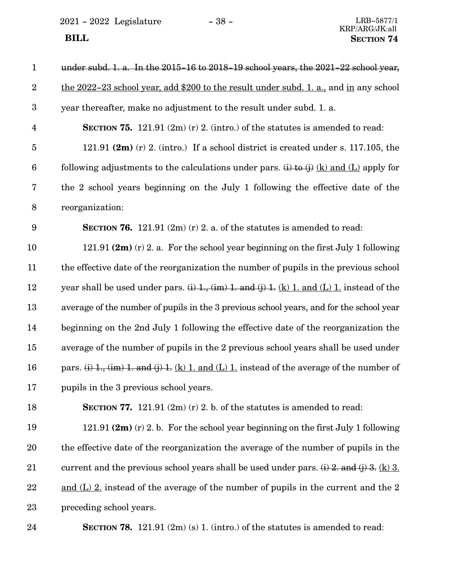$2021 - 2022$  Legislature  $-38 -$  LRB-5877/1

## KRP/ARG/JK:all  **BILL SECTION 74**

| $\mathbf{1}$            | under subd. 1. a. In the 2015-16 to 2018-19 school years, the 2021-22 school year,                  |
|-------------------------|-----------------------------------------------------------------------------------------------------|
| $\sqrt{2}$              | the 2022-23 school year, add \$200 to the result under subd. 1. a., and in any school               |
| $\boldsymbol{3}$        | year thereafter, make no adjustment to the result under subd. 1. a.                                 |
| $\overline{\mathbf{4}}$ | <b>SECTION 75.</b> 121.91 $(2m)$ (r) 2. (intro.) of the statutes is amended to read:                |
| $\overline{5}$          | 121.91 $(2m)$ (r) 2. (intro.) If a school district is created under s. 117.105, the                 |
| $\boldsymbol{6}$        | following adjustments to the calculations under pars. (i) to (j) (k) and (L) apply for              |
| 7                       | the 2 school years beginning on the July 1 following the effective date of the                      |
| $\, 8$                  | reorganization:                                                                                     |
| 9                       | <b>SECTION 76.</b> 121.91 $(2m)(r)$ 2. a. of the statutes is amended to read:                       |
| 10                      | 121.91 $(2m)$ (r) 2. a. For the school year beginning on the first July 1 following                 |
| 11                      | the effective date of the reorganization the number of pupils in the previous school                |
| 12                      | year shall be used under pars. $(i)$ 1, $(im)$ 1. and $(j)$ 1. $(k)$ 1. and $(L)$ 1. instead of the |
| 13                      | average of the number of pupils in the 3 previous school years, and for the school year             |
| 14                      | beginning on the 2nd July 1 following the effective date of the reorganization the                  |
| 15                      | average of the number of pupils in the 2 previous school years shall be used under                  |
| 16                      | pars. (i) 1., (im) 1. and (j) 1. (k) 1. and (L) 1. instead of the average of the number of          |
| 17                      | pupils in the 3 previous school years.                                                              |
| 18                      | SECTION 77. 121.91 $(2m)$ (r) 2. b. of the statutes is amended to read:                             |
| 19                      | 121.91 $(2m)$ (r) 2. b. For the school year beginning on the first July 1 following                 |
| 20                      | the effective date of the reorganization the average of the number of pupils in the                 |
| 21                      | current and the previous school years shall be used under pars. $(i)$ 2. and $(j)$ 3. (k) 3.        |
| 22                      | and $(L)$ 2. instead of the average of the number of pupils in the current and the 2                |
| 23                      | preceding school years.                                                                             |
|                         |                                                                                                     |

24

**SECTION 78.** 121.91 (2m) (s) 1. (intro.) of the statutes is amended to read: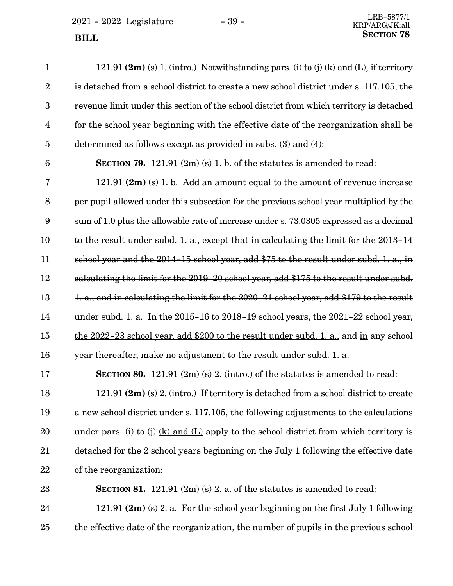$2021 - 2022$  Legislature  $-39$  -**SECTION** 78

| $\mathbf{1}$            | 121.91 (2m) (s) 1. (intro.) Notwithstanding pars. (i) to (j) (k) and (L), if territory   |
|-------------------------|------------------------------------------------------------------------------------------|
| $\overline{2}$          | is detached from a school district to create a new school district under s. 117.105, the |
| 3                       | revenue limit under this section of the school district from which territory is detached |
| $\overline{\mathbf{4}}$ | for the school year beginning with the effective date of the reorganization shall be     |
| 5                       | determined as follows except as provided in subs. (3) and (4):                           |
| $6\phantom{1}6$         | <b>SECTION 79.</b> 121.91 $(2m)(s)$ 1. b. of the statutes is amended to read:            |
| $\overline{7}$          | 121.91 $(2m)$ (s) 1. b. Add an amount equal to the amount of revenue increase            |
| 8                       | per pupil allowed under this subsection for the previous school year multiplied by the   |
| 9                       | sum of 1.0 plus the allowable rate of increase under s. 73.0305 expressed as a decimal   |
| 10                      | to the result under subd. 1. a., except that in calculating the limit for the 2013-14    |
| 11                      | school year and the 2014-15 school year, add \$75 to the result under subd. 1. a., in    |
| 12                      | calculating the limit for the 2019-20 school year, add \$175 to the result under subd.   |
| 13                      | 1. a., and in calculating the limit for the 2020-21 school year, add \$179 to the result |
| 14                      | under subd. 1. a. In the 2015-16 to 2018-19 school years, the 2021-22 school year,       |
| 15                      | the 2022-23 school year, add \$200 to the result under subd. 1. a., and in any school    |
| 16                      | year thereafter, make no adjustment to the result under subd. 1. a.                      |
| 17                      | <b>SECTION 80.</b> 121.91 $(2m)(s)$ 2. (intro.) of the statutes is amended to read:      |
| 18                      | 121.91 (2m) (s) 2. (intro.) If territory is detached from a school district to create    |
| 19                      | a new school district under s. 117.105, the following adjustments to the calculations    |
| 20                      | under pars. (i) to (j) (k) and (L) apply to the school district from which territory is  |
| 21                      | detached for the 2 school years beginning on the July 1 following the effective date     |
| 22                      | of the reorganization:                                                                   |
| 23                      | <b>SECTION 81.</b> 121.91 $(2m)(s)$ 2. a. of the statutes is amended to read:            |
| 24                      | 121.91 $(2m)$ (s) 2. a. For the school year beginning on the first July 1 following      |

the effective date of the reorganization, the number of pupils in the previous school 25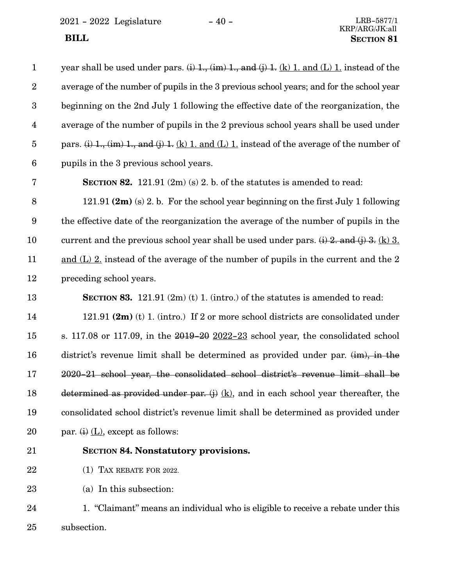<span id="page-39-0"></span> $2021 - 2022$  Legislature  $-40 -$ 

| $\mathbf{1}$   | year shall be used under pars. $(i)$ 1, $(im)$ 1, and $(j)$ 1. $(k)$ 1. and $(L)$ 1. instead of the   |
|----------------|-------------------------------------------------------------------------------------------------------|
| $\overline{2}$ | average of the number of pupils in the 3 previous school years; and for the school year               |
| $\overline{3}$ | beginning on the 2nd July 1 following the effective date of the reorganization, the                   |
| $\overline{4}$ | average of the number of pupils in the 2 previous school years shall be used under                    |
| $\overline{5}$ | pars. $(i)$ 1., $(im)$ 1., and $(j)$ 1. $(k)$ 1. and $(L)$ 1. instead of the average of the number of |
| 6              | pupils in the 3 previous school years.                                                                |
| 7              | <b>SECTION 82.</b> 121.91 $(2m)(s)$ 2. b. of the statutes is amended to read:                         |
| 8              | 121.91 $(2m)$ (s) 2. b. For the school year beginning on the first July 1 following                   |
| 9              | the effective date of the reorganization the average of the number of pupils in the                   |
| 10             | current and the previous school year shall be used under pars. $(i)$ 2. and $(j)$ 3. (k) 3.           |
| 11             | <u>and <math>(L)</math> 2</u> instead of the average of the number of pupils in the current and the 2 |
| 12             | preceding school years.                                                                               |
| 13             | <b>SECTION 83.</b> 121.91 $(2m)(t)$ 1. (intro.) of the statutes is amended to read:                   |
| 14             | 121.91 $(2m)$ (t) 1. (intro.) If 2 or more school districts are consolidated under                    |
| 15             | s. 117.08 or 117.09, in the $2019-20$ $2022-23$ school year, the consolidated school                  |
| 16             | district's revenue limit shall be determined as provided under par. $(im)$ , in the                   |
| 17             | 2020-21 school year, the consolidated school district's revenue limit shall be                        |
| 18             | determined as provided under par. $(i)$ (k), and in each school year thereafter, the                  |
| 19             | consolidated school district's revenue limit shall be determined as provided under                    |
| 20             | par. $(i)$ $(L)$ , except as follows:                                                                 |
| 21             | <b>SECTION 84. Nonstatutory provisions.</b>                                                           |

(1) TAX REBATE FOR 2022. 22

(a) In this subsection: 23

1. "Claimant" means an individual who is eligible to receive a rebate under this subsection. 24 25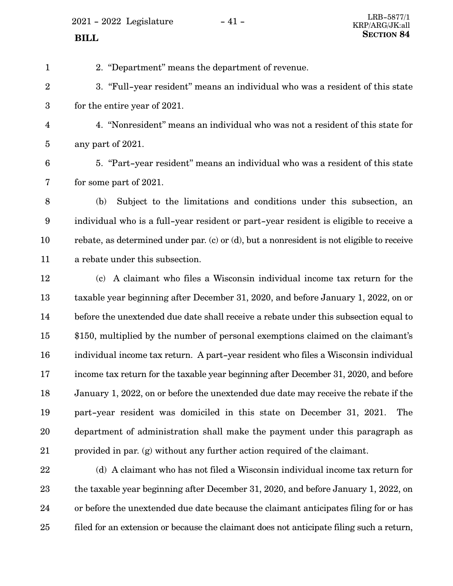$2021 - 2022$  Legislature  $-41 -$ 

<span id="page-40-0"></span>2. "Department" means the department of revenue. 3. "Full-year resident" means an individual who was a resident of this state for the entire year of 2021. 4. "Nonresident" means an individual who was not a resident of this state for any part of 2021. 5. "Part-year resident" means an individual who was a resident of this state for some part of 2021. (b) Subject to the limitations and conditions under this subsection, an individual who is a full-year resident or part-year resident is eligible to receive a rebate, as determined under par. (c) or (d), but a nonresident is not eligible to receive a rebate under this subsection. (c) A claimant who files a Wisconsin individual income tax return for the taxable year beginning after December 31, 2020, and before January 1, 2022, on or before the unextended due date shall receive a rebate under this subsection equal to \$150, multiplied by the number of personal exemptions claimed on the claimant's individual income tax return. A part-year resident who files a Wisconsin individual income tax return for the taxable year beginning after December 31, 2020, and before January 1, 2022, on or before the unextended due date may receive the rebate if the part-year resident was domiciled in this state on December 31, 2021. The department of administration shall make the payment under this paragraph as 1 2 3 4 5 6 7 8 9 10 11 12 13 14 15 16 17 18 19 20

21

(d) A claimant who has not filed a Wisconsin individual income tax return for the taxable year beginning after December 31, 2020, and before January 1, 2022, on or before the unextended due date because the claimant anticipates filing for or has filed for an extension or because the claimant does not anticipate filing such a return, 22 23 24 25

provided in par. ([g](#page-41-0)) without any further action required of the claimant.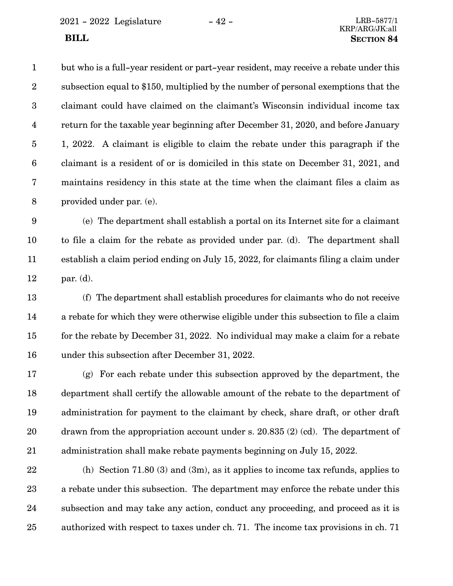<span id="page-41-0"></span>2021 - 2022 Legislature - 42 - LRB-5877/1

but who is a full-year resident or part-year resident, may receive a rebate under this subsection equal to \$150, multiplied by the number of personal exemptions that the claimant could have claimed on the claimant's Wisconsin individual income tax return for the taxable year beginning after December 31, 2020, and before January 1, 2022. A claimant is eligible to claim the rebate under this paragraph if the claimant is a resident of or is domiciled in this state on December 31, 2021, and maintains residency in this state at the time when the claimant files a claim as provided under par. (e). 1 2 3 4 5 6 7 8

(e) The department shall establish a portal on its Internet site for a claimant to file a claim for the rebate as provided under par. ([d\)](#page-40-0). The department shall establish a claim period ending on July 15, 2022, for claimants filing a claim under par. ([d](#page-40-0)). 9 10 11 12

(f) The department shall establish procedures for claimants who do not receive a rebate for which they were otherwise eligible under this subsection to file a claim for the rebate by December 31, 2022. No individual may make a claim for a rebate under this subsection after December 31, 2022. 13 14 15 16

(g) For each rebate under this subsection approved by the department, the department shall certify the allowable amount of the rebate to the department of administration for payment to the claimant by check, share draft, or other draft drawn from the appropriation account under s. 20.835 (2) (cd). The department of administration shall make rebate payments beginning on July 15, 2022. 17 18 19 20 21

(h) Section 71.80 (3) and (3m), as it applies to income tax refunds, applies to a rebate under this subsection. The department may enforce the rebate under this subsection and may take any action, conduct any proceeding, and proceed as it is authorized with respect to taxes under ch. 71. The income tax provisions in ch. 71 22 23 24 25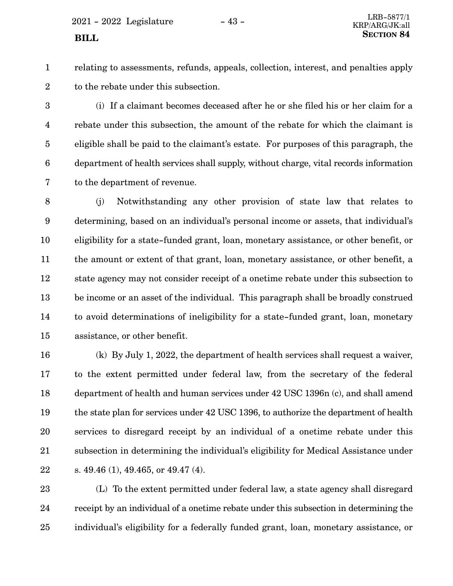$2021 - 2022$  Legislature  $-43 -$ 

1 2 relating to assessments, refunds, appeals, collection, interest, and penalties apply to the rebate under this subsection.

(i) If a claimant becomes deceased after he or she filed his or her claim for a rebate under this subsection, the amount of the rebate for which the claimant is eligible shall be paid to the claimant's estate. For purposes of this paragraph, the department of health services shall supply, without charge, vital records information to the department of revenue. 3 4 5 6 7

(j) Notwithstanding any other provision of state law that relates to determining, based on an individual's personal income or assets, that individual's eligibility for a state-funded grant, loan, monetary assistance, or other benefit, or the amount or extent of that grant, loan, monetary assistance, or other benefit, a state agency may not consider receipt of a onetime rebate under this subsection to be income or an asset of the individual. This paragraph shall be broadly construed to avoid determinations of ineligibility for a state-funded grant, loan, monetary assistance, or other benefit. 8 9 10 11 12 13 14 15

(k) By July 1, 2022, the department of health services shall request a waiver, to the extent permitted under federal law, from the secretary of the federal department of health and human services under 42 USC 1396n (c), and shall amend the state plan for services under 42 USC 1396, to authorize the department of health services to disregard receipt by an individual of a onetime rebate under this subsection in determining the individual's eligibility for Medical Assistance under s. 49.46 (1), 49.465, or 49.47 (4). 16 17 18 19 20 21 22

(L) To the extent permitted under federal law, a state agency shall disregard receipt by an individual of a onetime rebate under this subsection in determining the individual's eligibility for a federally funded grant, loan, monetary assistance, or 23 24 25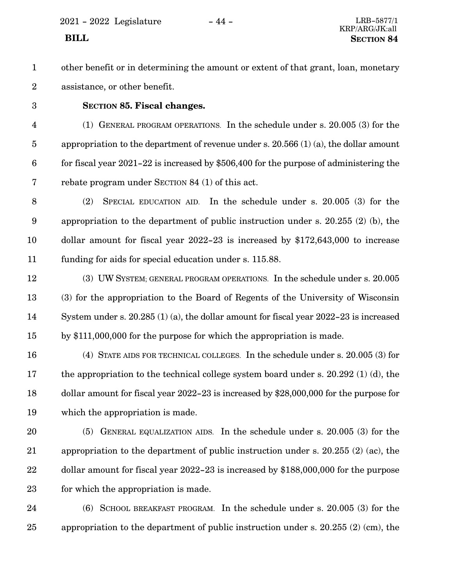<span id="page-43-0"></span>2021 - 2022 Legislature - 44 - LRB-5877/1

## KRP/ARG/JK:all  **BILL SECTION 84**

other benefit or in determining the amount or extent of that grant, loan, monetary assistance, or other benefit. 1 2

3

### **SECTION 85.**0**Fiscal changes.**

(1) GENERAL PROGRAM OPERATIONS. In the schedule under s. 20.005 (3) for the appropriation to the department of revenue under s. 20.566 (1) (a), the dollar amount for fiscal year 2021-22 is increased by \$506,400 for the purpose of administering the rebate program under SECTION [84](#page-39-0) ([1\)](#page-39-0) of this act. 4 5 6 7

(2) SPECIAL EDUCATION AID. In the schedule under s. 20.005 (3) for the appropriation to the department of public instruction under s. 20.255 (2) (b), the dollar amount for fiscal year 2022-23 is increased by \$172,643,000 to increase funding for aids for special education under s. 115.88. 8 9 10 11

(3) UW SYSTEM; GENERAL PROGRAM OPERATIONS. In the schedule under s. 20.005 (3) for the appropriation to the Board of Regents of the University of Wisconsin System under s. 20.285 (1) (a), the dollar amount for fiscal year 2022-23 is increased by \$111,000,000 for the purpose for which the appropriation is made. 12 13 14 15

(4) STATE AIDS FOR TECHNICAL COLLEGES. In the schedule under s. 20.005 (3) for the appropriation to the technical college system board under s. 20.292 (1) (d), the dollar amount for fiscal year 2022-23 is increased by \$28,000,000 for the purpose for which the appropriation is made. 16 17 18 19

(5) GENERAL EQUALIZATION AIDS. In the schedule under s. 20.005 (3) for the appropriation to the department of public instruction under s. 20.255 (2) (ac), the dollar amount for fiscal year 2022-23 is increased by \$188,000,000 for the purpose for which the appropriation is made. 20 21 22 23

(6) SCHOOL BREAKFAST PROGRAM. In the schedule under s. 20.005 (3) for the appropriation to the department of public instruction under s. 20.255 (2) (cm), the 24 25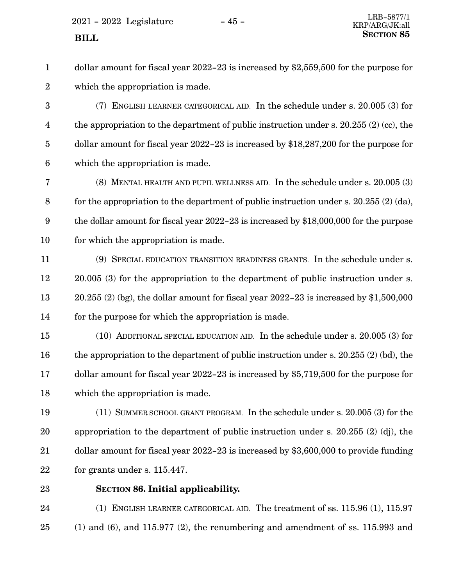$2021 - 2022$  Legislature  $-45 -$ 

dollar amount for fiscal year 2022-23 is increased by \$2,559,500 for the purpose for which the appropriation is made. 1 2

(7) ENGLISH LEARNER CATEGORICAL AID. In the schedule under s. 20.005 (3) for the appropriation to the department of public instruction under s.  $20.255(2)(cc)$ , the dollar amount for fiscal year 2022-23 is increased by \$18,287,200 for the purpose for which the appropriation is made. 3 4 5 6

(8) MENTAL HEALTH AND PUPIL WELLNESS AID. In the schedule under s. 20.005 (3) for the appropriation to the department of public instruction under s. 20.255 (2) (da), the dollar amount for fiscal year 2022-23 is increased by \$18,000,000 for the purpose for which the appropriation is made. 7 8 9 10

(9) SPECIAL EDUCATION TRANSITION READINESS GRANTS. In the schedule under s. 20.005 (3) for the appropriation to the department of public instruction under s.  $20.255$  (2) (bg), the dollar amount for fiscal year  $2022-23$  is increased by \$1,500,000 for the purpose for which the appropriation is made. 11 12 13 14

(10) ADDITIONAL SPECIAL EDUCATION AID. In the schedule under s. 20.005 (3) for the appropriation to the department of public instruction under s. 20.255 (2) (bd), the dollar amount for fiscal year 2022-23 is increased by \$5,719,500 for the purpose for which the appropriation is made. 15 16 17 18

(11) SUMMER SCHOOL GRANT PROGRAM. In the schedule under s. 20.005 (3) for the appropriation to the department of public instruction under s. 20.255 (2) (dj), the dollar amount for fiscal year 2022-23 is increased by \$3,600,000 to provide funding for grants under s. 115.447. 19 20 21 22

23

#### **SECTION 86. Initial applicability.**

(1) ENGLISH LEARNER CATEGORICAL AID. The treatment of ss. 115.96 (1), 115.97  $(1)$  and  $(6)$ , and  $115.977 (2)$ , the renumbering and amendment of ss. 115.993 and 24 25